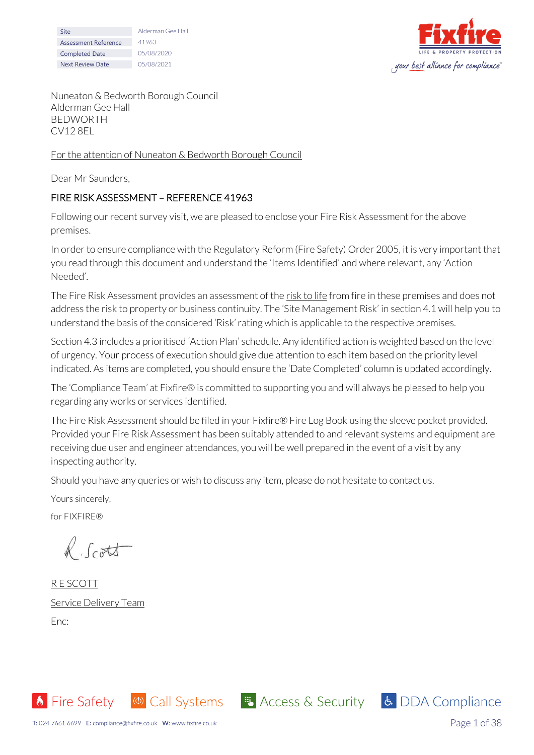| Site                    | Alderman Gee Hall |
|-------------------------|-------------------|
| Assessment Reference    | 41963             |
| <b>Completed Date</b>   | 05/08/2020        |
| <b>Next Review Date</b> | 05/08/2021        |



Nuneaton & Bedworth Borough Council Alderman Gee Hall BEDWORTH CV12 8EL

#### For the attention of Nuneaton & Bedworth Borough Council

Dear Mr Saunders,

## FIRE RISK ASSESSMENT – REFERENCE 41963

Following our recent survey visit, we are pleased to enclose your Fire Risk Assessment for the above premises.

In order to ensure compliance with the Regulatory Reform (Fire Safety) Order 2005, it is very important that you read through this document and understand the 'Items Identified' and where relevant, any 'Action Needed'.

The Fire Risk Assessment provides an assessment of the risk to life from fire in these premises and does not address the risk to property or business continuity. The 'Site Management Risk' in section 4.1 will help you to understand the basis of the considered 'Risk' rating which is applicable to the respective premises.

Section 4.3 includes a prioritised 'Action Plan' schedule. Any identified action is weighted based on the level of urgency. Your process of execution should give due attention to each item based on the priority level indicated. As items are completed, you should ensure the 'Date Completed' column is updated accordingly.

The 'Compliance Team' at Fixfire® is committed to supporting you and will always be pleased to help you regarding any works or services identified.

The Fire Risk Assessment should be filed in your Fixfire® Fire Log Book using the sleeve pocket provided. Provided your Fire Risk Assessment has been suitably attended to and relevant systems and equipment are receiving due user and engineer attendances, you will be well prepared in the event of a visit by any inspecting authority.

**6** Fire Safety (4) Call Systems **4** Access & Security 6 DDA Compliance

Should you have any queries or wish to discuss any item, please do not hesitate to contact us.

Yours sincerely,

for FIXFIRE®

R.Scott

R E SCOTT Service Delivery Team Enc: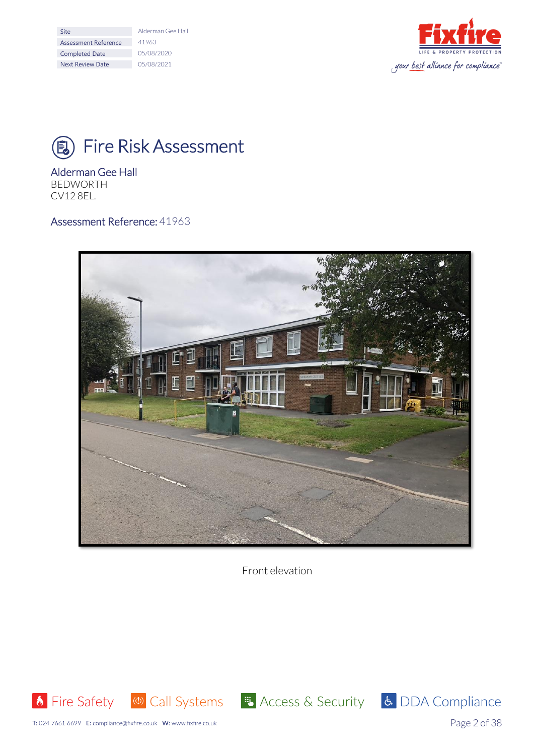| Site                    | Alderman Gee Hall |
|-------------------------|-------------------|
| Assessment Reference    | 41963             |
| <b>Completed Date</b>   | 05/08/2020        |
| <b>Next Review Date</b> | 05/08/2021        |



# **(B)** Fire Risk Assessment

# Alderman Gee Hall

BEDWORTH CV12 8EL.

## Assessment Reference: 41963



Front elevation







Page 2 of 38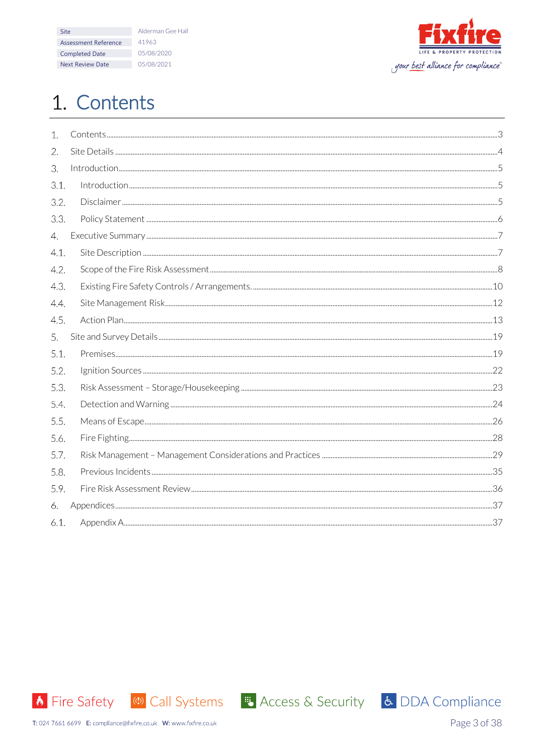| Site                    | Alderman Gee Hall |
|-------------------------|-------------------|
| Assessment Reference    | 41963             |
| <b>Completed Date</b>   | 05/08/2020        |
| <b>Next Review Date</b> | 05/08/2021        |



# <span id="page-2-0"></span>1. Contents

| $\mathbf{1}$ . |  |
|----------------|--|
| 2.             |  |
| 3.             |  |
| 3.1.           |  |
| 3.2.           |  |
| 3.3.           |  |
| 4.             |  |
| 4.1.           |  |
| 4.2.           |  |
| 4.3.           |  |
| 4.4.           |  |
| 4.5.           |  |
| 5.             |  |
| 5.1.           |  |
| 5.2.           |  |
| 5.3.           |  |
| 5.4.           |  |
| 5.5.           |  |
| 5.6.           |  |
| 5.7.           |  |
| 5.8.           |  |
| 5.9.           |  |
| 6.             |  |
| 6.1.           |  |
|                |  |



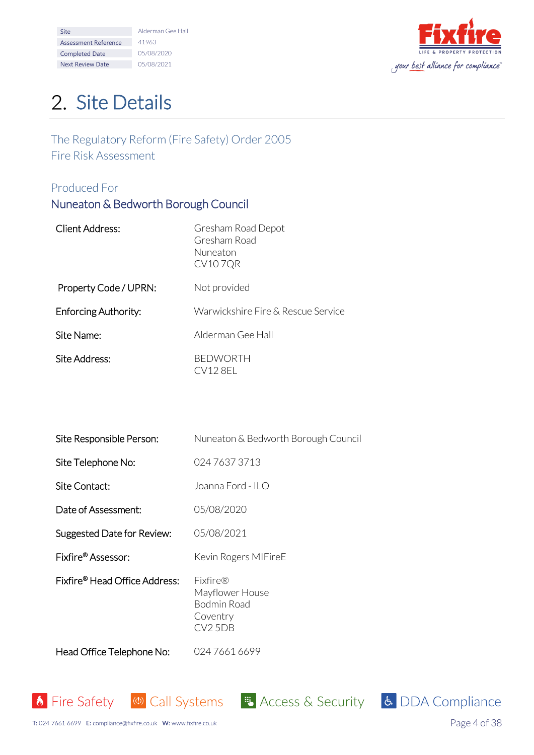| <b>Site</b>             | Alderman Gee Hall |
|-------------------------|-------------------|
| Assessment Reference    | 41963             |
| <b>Completed Date</b>   | 05/08/2020        |
| <b>Next Review Date</b> | 05/08/2021        |



# <span id="page-3-0"></span>2. Site Details

The Regulatory Reform (Fire Safety) Order 2005 Fire Risk Assessment

## Produced For

# Nuneaton & Bedworth Borough Council

| <b>Client Address:</b>      | Gresham Road Depot<br>Gresham Road<br>Nuneaton<br><b>CV107QR</b> |
|-----------------------------|------------------------------------------------------------------|
| Property Code / UPRN:       | Not provided                                                     |
| <b>Enforcing Authority:</b> | Warwickshire Fire & Rescue Service                               |
| Site Name:                  | Alderman Gee Hall                                                |
| Site Address:               | <b>BEDWORTH</b><br>CV128EL                                       |

| Site Responsible Person:                  | Nuneaton & Bedworth Borough Council                               |
|-------------------------------------------|-------------------------------------------------------------------|
| Site Telephone No:                        | 024 7637 3713                                                     |
| Site Contact:                             | Joanna Ford - ILO                                                 |
| Date of Assessment:                       | 05/08/2020                                                        |
| Suggested Date for Review:                | 05/08/2021                                                        |
| Fixfire® Assessor:                        | Kevin Rogers MIFireE                                              |
| Fixfire <sup>®</sup> Head Office Address: | Fixfire®<br>Mayflower House<br>Bodmin Road<br>Coventry<br>CV2 5DB |

Head Office Telephone No: 024 7661 6699



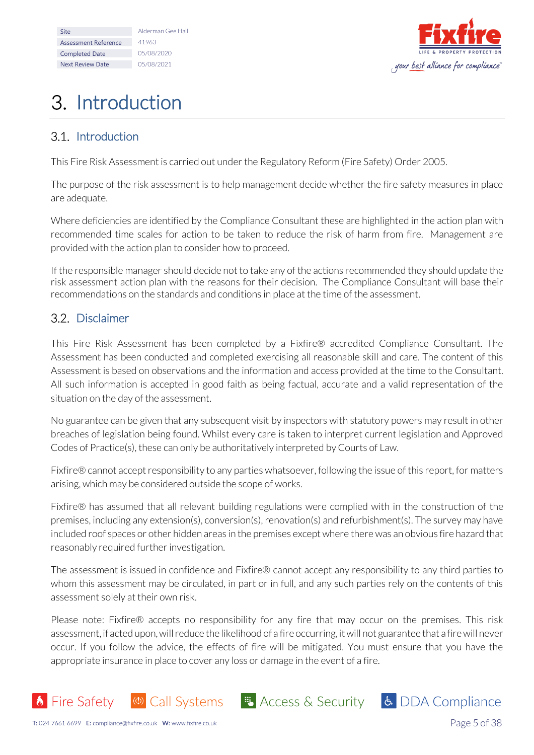| <b>Site</b>             | Alderman Gee Hall |
|-------------------------|-------------------|
| Assessment Reference    | 41963             |
| <b>Completed Date</b>   | 05/08/2020        |
| <b>Next Review Date</b> | 05/08/2021        |



# <span id="page-4-0"></span>3. Introduction

## <span id="page-4-1"></span>3.1. Introduction

This Fire Risk Assessment is carried out under the Regulatory Reform (Fire Safety) Order 2005.

The purpose of the risk assessment is to help management decide whether the fire safety measures in place are adequate.

Where deficiencies are identified by the Compliance Consultant these are highlighted in the action plan with recommended time scales for action to be taken to reduce the risk of harm from fire. Management are provided with the action plan to consider how to proceed.

If the responsible manager should decide not to take any of the actions recommended they should update the risk assessment action plan with the reasons for their decision. The Compliance Consultant will base their recommendations on the standards and conditions in place at the time of the assessment.

## <span id="page-4-2"></span>3.2. Disclaimer

This Fire Risk Assessment has been completed by a Fixfire® accredited Compliance Consultant. The Assessment has been conducted and completed exercising all reasonable skill and care. The content of this Assessment is based on observations and the information and access provided at the time to the Consultant. All such information is accepted in good faith as being factual, accurate and a valid representation of the situation on the day of the assessment.

No guarantee can be given that any subsequent visit by inspectors with statutory powers may result in other breaches of legislation being found. Whilst every care is taken to interpret current legislation and Approved Codes of Practice(s), these can only be authoritatively interpreted by Courts of Law.

Fixfire® cannot accept responsibility to any parties whatsoever, following the issue of this report, for matters arising, which may be considered outside the scope of works.

Fixfire® has assumed that all relevant building regulations were complied with in the construction of the premises, including any extension(s), conversion(s), renovation(s) and refurbishment(s). The survey may have included roof spaces or other hidden areas in the premises except where there was an obvious fire hazard that reasonably required further investigation.

The assessment is issued in confidence and Fixfire® cannot accept any responsibility to any third parties to whom this assessment may be circulated, in part or in full, and any such parties rely on the contents of this assessment solely at their own risk.

Please note: Fixfire® accepts no responsibility for any fire that may occur on the premises. This risk assessment, if acted upon, will reduce the likelihood of a fire occurring, it will not guarantee that a fire will never occur. If you follow the advice, the effects of fire will be mitigated. You must ensure that you have the appropriate insurance in place to cover any loss or damage in the event of a fire.



**8** Fire Safety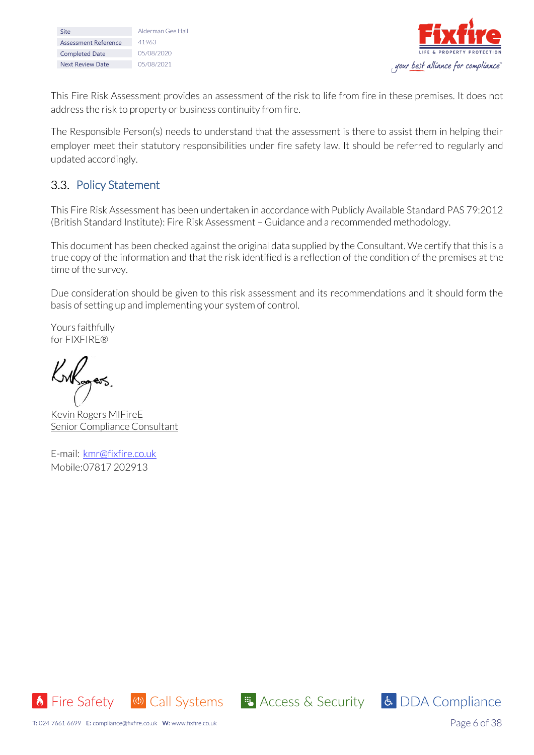| Site                    | Alderman Gee Hall |
|-------------------------|-------------------|
| Assessment Reference    | 41963             |
| <b>Completed Date</b>   | 05/08/2020        |
| <b>Next Review Date</b> | 05/08/2021        |



This Fire Risk Assessment provides an assessment of the risk to life from fire in these premises. It does not address the risk to property or business continuity from fire.

The Responsible Person(s) needs to understand that the assessment is there to assist them in helping their employer meet their statutory responsibilities under fire safety law. It should be referred to regularly and updated accordingly.

# <span id="page-5-0"></span>3.3. Policy Statement

This Fire Risk Assessment has been undertaken in accordance with Publicly Available Standard PAS 79:2012 (British Standard Institute): Fire Risk Assessment – Guidance and a recommended methodology.

This document has been checked against the original data supplied by the Consultant. We certify that this is a true copy of the information and that the risk identified is a reflection of the condition of the premises at the time of the survey.

Due consideration should be given to this risk assessment and its recommendations and it should form the basis of setting up and implementing your system of control.

Yours faithfully for FIXFIRE®

Kriksgers

Kevin Rogers MIFireE Senior Compliance Consultant

E-mail: [kmr@fixfire.co.uk](mailto:kmr@fixfire.co.uk) Mobile:07817 202913





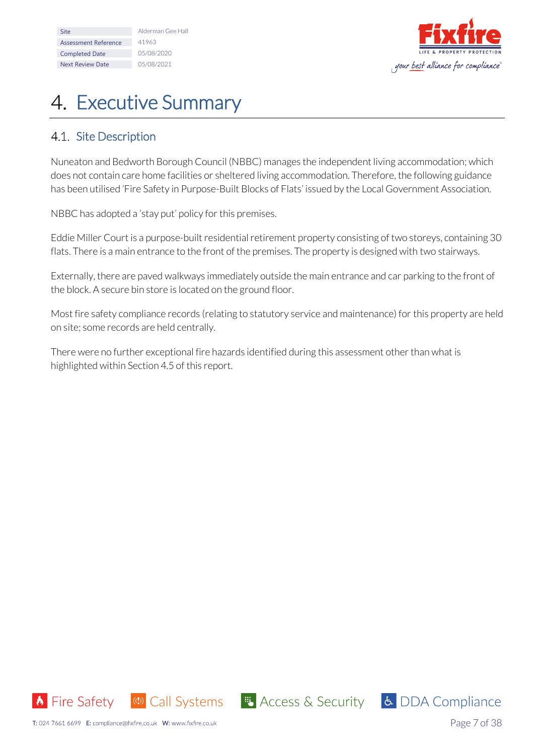| <b>Site</b>             | Alderman Gee Hall |
|-------------------------|-------------------|
| Assessment Reference    | 41963             |
| <b>Completed Date</b>   | 05/08/2020        |
| <b>Next Review Date</b> | 05/08/2021        |



# <span id="page-6-0"></span>4. Executive Summary

# <span id="page-6-1"></span>4.1. Site Description

Nuneaton and Bedworth Borough Council (NBBC) manages the independent living accommodation; which does not contain care home facilities or sheltered living accommodation. Therefore, the following guidance has been utilised 'Fire Safety in Purpose-Built Blocks of Flats' issued by the Local Government Association.

NBBC has adopted a 'stay put' policy for this premises.

Eddie Miller Court is a purpose-built residential retirement property consisting of two storeys, containing 30 flats. There is a main entrance to the front of the premises. The property is designed with two stairways.

Externally, there are paved walkways immediately outside the main entrance and car parking to the front of the block. A secure bin store is located on the ground floor.

Most fire safety compliance records (relating to statutory service and maintenance) for this property are held on site; some records are held centrally.

■ Access & Security

There were no further exceptional fire hazards identified during this assessment other than what is highlighted within Section 4.5 of this report.



Page 7 of 38

& DDA Compliance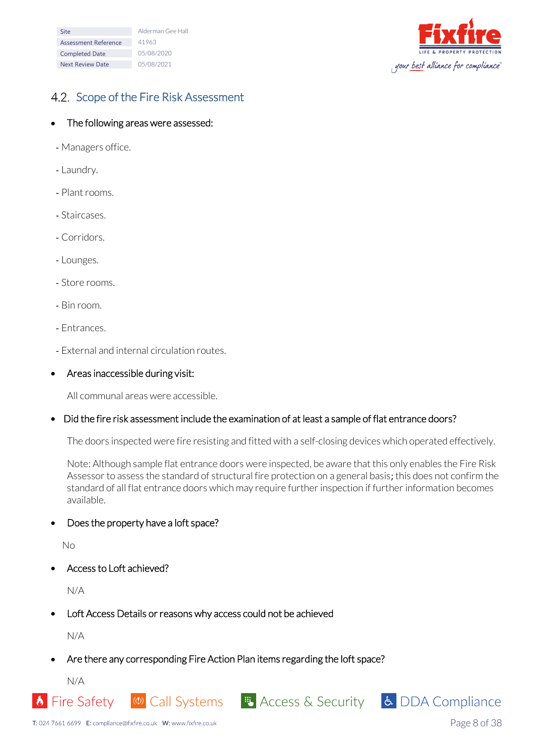| <b>Site</b>             | Alderman Gee Hall |
|-------------------------|-------------------|
| Assessment Reference    | 41963             |
| <b>Completed Date</b>   | 05/08/2020        |
| <b>Next Review Date</b> | 05/08/2021        |



# <span id="page-7-0"></span>4.2. Scope of the Fire Risk Assessment

#### • The following areas were assessed:

- Managers office.
- Laundry.
- Plant rooms.
- Staircases.
- Corridors.
- Lounges.
- Store rooms.
- Bin room.
- Entrances.
- External and internal circulation routes.
- Areas inaccessible during visit:

All communal areas were accessible.

#### • Did the fire risk assessment include the examination of at least a sample of flat entrance doors?

The doors inspected were fire resisting and fitted with a self-closing devices which operated effectively.

Note: Although sample flat entrance doors were inspected, be aware that this only enables the Fire Risk Assessor to assess the standard of structural fire protection on a general basis; this does not confirm the standard of all flat entrance doors which may require further inspection if further information becomes available.

© Call Systems File Access & Security 6 DDA Compliance

• Does the property have a loft space?

No

Access to Loft achieved?

N/A

• Loft Access Details or reasons why access could not be achieved

N/A

• Are there any corresponding Fire Action Plan items regarding the loft space?

N/A

**b** Fire Safety



Page 8 of 38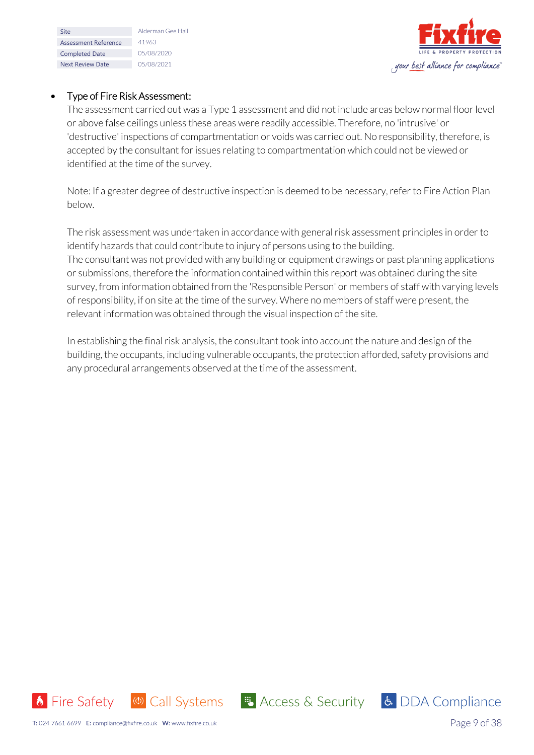| Site                    | Alderman Gee Hall |
|-------------------------|-------------------|
| Assessment Reference    | 41963             |
| <b>Completed Date</b>   | 05/08/2020        |
| <b>Next Review Date</b> | 05/08/2021        |



#### • Type of Fire Risk Assessment:

The assessment carried out was a Type 1 assessment and did not include areas below normal floor level or above false ceilings unless these areas were readily accessible. Therefore, no 'intrusive' or 'destructive' inspections of compartmentation or voids was carried out. No responsibility, therefore, is accepted by the consultant for issues relating to compartmentation which could not be viewed or identified at the time of the survey.

Note: If a greater degree of destructive inspection is deemed to be necessary, refer to Fire Action Plan below.

The risk assessment was undertaken in accordance with general risk assessment principles in order to identify hazards that could contribute to injury of persons using to the building. The consultant was not provided with any building or equipment drawings or past planning applications or submissions, therefore the information contained within this report was obtained during the site survey, from information obtained from the 'Responsible Person' or members of staff with varying levels of responsibility, if on site at the time of the survey. Where no members of staff were present, the relevant information was obtained through the visual inspection of the site.

In establishing the final risk analysis, the consultant took into account the nature and design of the building, the occupants, including vulnerable occupants, the protection afforded, safety provisions and any procedural arrangements observed at the time of the assessment.



<mark>も</mark> Access & Security | よ DDA Compliance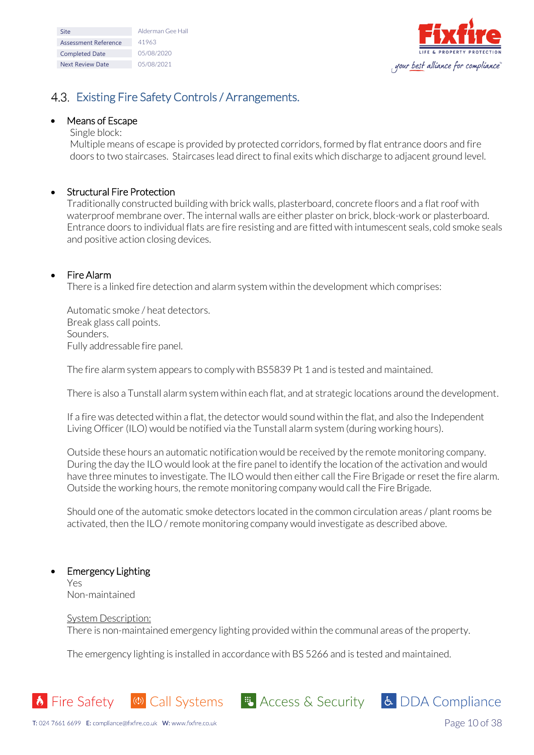| <b>Site</b>             | Alderman Gee Hall |
|-------------------------|-------------------|
| Assessment Reference    | 41963             |
| <b>Completed Date</b>   | 05/08/2020        |
| <b>Next Review Date</b> | 05/08/2021        |



# <span id="page-9-0"></span>4.3. Existing Fire Safety Controls / Arrangements.

#### • Means of Escape

#### Single block:

Multiple means of escape is provided by protected corridors, formed by flat entrance doors and fire doors to two staircases. Staircases lead direct to final exits which discharge to adjacent ground level.

### • Structural Fire Protection

Traditionally constructed building with brick walls, plasterboard, concrete floors and a flatroof with waterproof membrane over. The internal walls are either plaster on brick, block-work or plasterboard. Entrance doors to individual flats are fire resisting and are fitted with intumescent seals, cold smoke seals and positive action closing devices.

#### • Fire Alarm

There is a linked fire detection and alarm system within the development which comprises:

Automatic smoke / heat detectors. Break glass call points. Sounders. Fully addressable fire panel.

The fire alarm system appears to comply with BS5839 Pt 1 and is tested and maintained.

There is also a Tunstall alarm system within each flat, and at strategic locations around the development.

If a fire was detected within a flat, the detector would sound within the flat, and also the Independent Living Officer (ILO) would be notified via the Tunstall alarm system (during working hours).

Outside these hours an automatic notification would be received by the remote monitoring company. During the day the ILO would look at the fire panel to identify the location of the activation and would have three minutes to investigate. The ILO would then either call the Fire Brigade or reset the fire alarm. Outside the working hours, the remote monitoring company would call the Fire Brigade.

Should one of the automatic smoke detectors located in the common circulation areas / plant rooms be activated, then the ILO / remote monitoring company would investigate as described above.

#### • Emergency Lighting Yes

Non-maintained

#### System Description:

There is non-maintained emergency lighting provided within the communal areas of the property.

The emergency lighting is installed in accordance with BS 5266 and is tested and maintained.

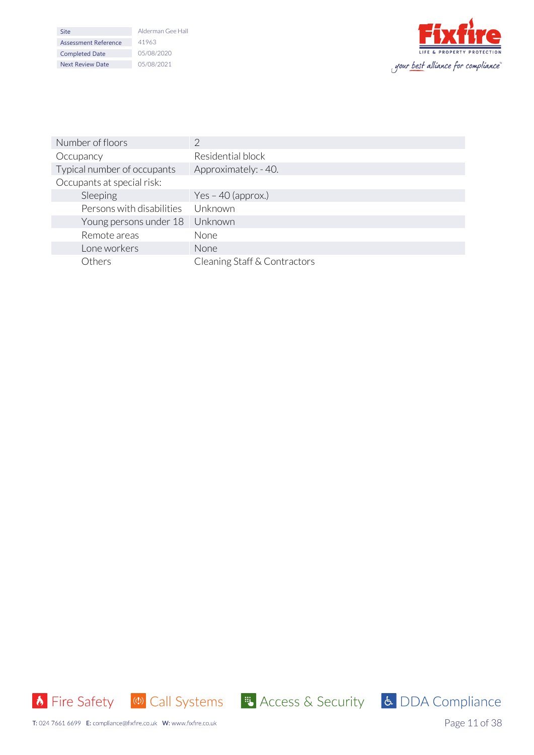| Site                    | Alderman Gee Hall |
|-------------------------|-------------------|
| Assessment Reference    | 41963             |
| <b>Completed Date</b>   | 05/08/2020        |
| <b>Next Review Date</b> | 05/08/2021        |



| Number of floors            | 2                            |
|-----------------------------|------------------------------|
| Occupancy                   | Residential block            |
| Typical number of occupants | Approximately: -40.          |
| Occupants at special risk:  |                              |
| Sleeping                    | Yes $-$ 40 (approx.)         |
| Persons with disabilities   | Unknown                      |
| Young persons under 18      | Unknown                      |
| Remote areas                | None                         |
| Lone workers                | <b>None</b>                  |
| Others                      | Cleaning Staff & Contractors |





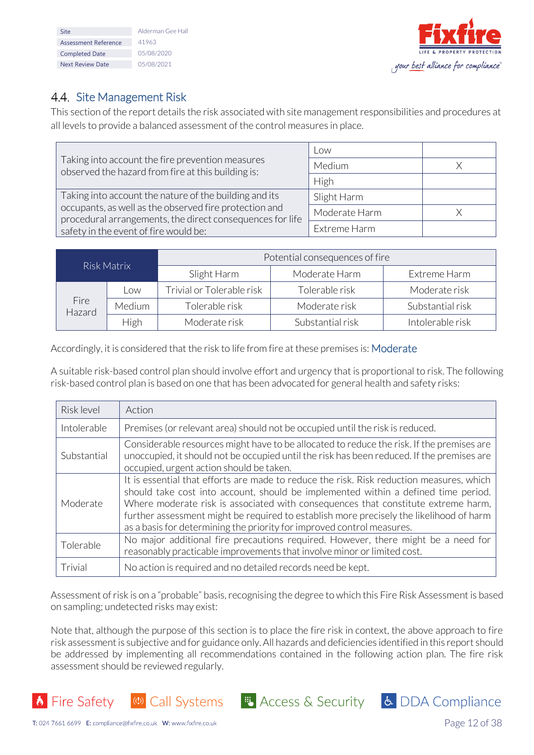| Site                    | Alderman Gee Hall |
|-------------------------|-------------------|
| Assessment Reference    | 41963             |
| <b>Completed Date</b>   | 05/08/2020        |
| <b>Next Review Date</b> | 05/08/2021        |



# <span id="page-11-0"></span>4.4. Site Management Risk

This section of the report details the risk associated with site management responsibilities and procedures at all levels to provide a balanced assessment of the control measures in place.

|                                                                                                                     | l ow          |  |
|---------------------------------------------------------------------------------------------------------------------|---------------|--|
| Taking into account the fire prevention measures<br>observed the hazard from fire at this building is:              | Medium        |  |
|                                                                                                                     | High          |  |
| Taking into account the nature of the building and its                                                              | Slight Harm   |  |
| occupants, as well as the observed fire protection and<br>procedural arrangements, the direct consequences for life | Moderate Harm |  |
| safety in the event of fire would be:                                                                               | Extreme Harm  |  |

| Risk Matrix    |        | Potential consequences of fire |                  |                  |
|----------------|--------|--------------------------------|------------------|------------------|
|                |        | Slight Harm                    | Moderate Harm    | Extreme Harm     |
|                | Low    | Trivial or Tolerable risk      | Tolerable risk   | Moderate risk    |
| Fire<br>Hazard | Medium | Tolerable risk                 | Moderate risk    | Substantial risk |
|                | High   | Moderate risk                  | Substantial risk | Intolerable risk |

Accordingly, it is considered that the risk to life from fire at these premises is: Moderate

A suitable risk-based control plan should involve effort and urgency that is proportional to risk. The following risk-based control plan is based on one that has been advocated for general health and safety risks:

| Risk level  | Action                                                                                                                                                                                                                                                                                                                                                                                                                                   |
|-------------|------------------------------------------------------------------------------------------------------------------------------------------------------------------------------------------------------------------------------------------------------------------------------------------------------------------------------------------------------------------------------------------------------------------------------------------|
| Intolerable | Premises (or relevant area) should not be occupied until the risk is reduced.                                                                                                                                                                                                                                                                                                                                                            |
| Substantial | Considerable resources might have to be allocated to reduce the risk. If the premises are<br>unoccupied, it should not be occupied until the risk has been reduced. If the premises are<br>occupied, urgent action should be taken.                                                                                                                                                                                                      |
| Moderate    | It is essential that efforts are made to reduce the risk. Risk reduction measures, which<br>should take cost into account, should be implemented within a defined time period.<br>Where moderate risk is associated with consequences that constitute extreme harm,<br>further assessment might be required to establish more precisely the likelihood of harm<br>as a basis for determining the priority for improved control measures. |
| Tolerable   | No major additional fire precautions required. However, there might be a need for<br>reasonably practicable improvements that involve minor or limited cost.                                                                                                                                                                                                                                                                             |
| Trivial     | No action is required and no detailed records need be kept.                                                                                                                                                                                                                                                                                                                                                                              |

Assessment of risk is on a "probable" basis, recognising the degree to which this Fire Risk Assessment is based on sampling; undetected risks may exist:

Note that, although the purpose of this section is to place the fire risk in context, the above approach to fire risk assessment is subjective and for guidance only. All hazards and deficiencies identified in this report should be addressed by implementing all recommendations contained in the following action plan. The fire risk assessment should be reviewed regularly.

<mark>も</mark> Access & Security | よ DDA Compliance



Page 12 of 38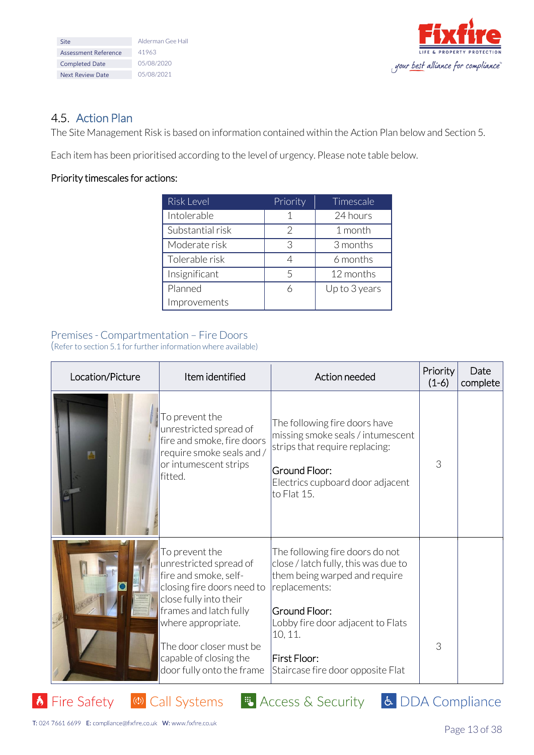| Alderman Gee Hall |
|-------------------|
| 41963             |
| 05/08/2020        |
| 05/08/2021        |
|                   |



# <span id="page-12-0"></span>4.5. Action Plan

The Site Management Risk is based on information contained within the Action Plan below and Section 5.

Each item has been prioritised according to the level of urgency. Please note table below.

## Priority timescales for actions:

| <b>Risk Level</b> | Priority             | <b>Timescale</b> |
|-------------------|----------------------|------------------|
| Intolerable       |                      | 24 hours         |
| Substantial risk  | 2                    | 1 month          |
| Moderate risk     | 3                    | 3 months         |
| Tolerable risk    | $\overline{\Lambda}$ | 6 months         |
| Insignificant     | 5                    | 12 months        |
| Planned           | h                    | Up to 3 years    |
| Improvements      |                      |                  |

# Premises - Compartmentation – Fire Doors

(Refer to section 5.1 for further information where available)

| Location/Picture | Item identified                                                                                                                                                                                                                                             | Action needed                                                                                                                                                                                                                                          | Priority<br>$(1-6)$ | Date<br>complete |
|------------------|-------------------------------------------------------------------------------------------------------------------------------------------------------------------------------------------------------------------------------------------------------------|--------------------------------------------------------------------------------------------------------------------------------------------------------------------------------------------------------------------------------------------------------|---------------------|------------------|
| 酉                | To prevent the<br>unrestricted spread of<br>fire and smoke, fire doors<br>require smoke seals and /<br>or intumescent strips<br>lfitted.                                                                                                                    | The following fire doors have<br>missing smoke seals / intumescent<br>strips that require replacing:<br>Ground Floor:<br>Electrics cupboard door adjacent<br>to Flat 15.                                                                               | 3                   |                  |
|                  | To prevent the<br>unrestricted spread of<br>fire and smoke, self-<br>closing fire doors need to<br>close fully into their<br>frames and latch fully<br>where appropriate.<br>The door closer must be<br>capable of closing the<br>door fully onto the frame | The following fire doors do not<br>close / latch fully, this was due to<br>them being warped and require<br>replacements:<br><b>Ground Floor:</b><br>Lobby fire door adjacent to Flats<br>10, 11.<br>First Floor:<br>Staircase fire door opposite Flat | 3                   |                  |

**E** Access & Security

T: 024 7661 6699 E: compliance@fixfire.co.uk W: www.fixfire.co.uk

**b** Fire Safety

(1) Call Systems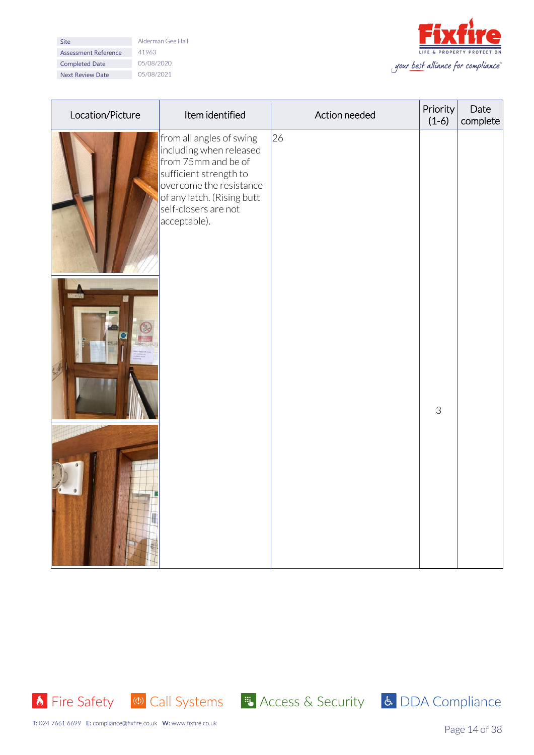| Site                        |
|-----------------------------|
| <b>Assessment Reference</b> |
| <b>Completed Date</b>       |
| <b>Next Review Date</b>     |

Alderman Gee Hall Assessment Reference 41963  $05/08/2020$  $05/08/2021$ 



| Location/Picture | Item identified                                                                                                                                                                                       | Action needed | Priority<br>$(1-6)$ | Date<br>complete |
|------------------|-------------------------------------------------------------------------------------------------------------------------------------------------------------------------------------------------------|---------------|---------------------|------------------|
|                  | from all angles of swing<br>including when released<br>from 75mm and be of<br>sufficient strength to<br>overcome the resistance<br>of any latch. (Rising butt<br>self-closers are not<br>acceptable). | 26            |                     |                  |
|                  |                                                                                                                                                                                                       |               | $\mathcal{S}$       |                  |
|                  |                                                                                                                                                                                                       |               |                     |                  |





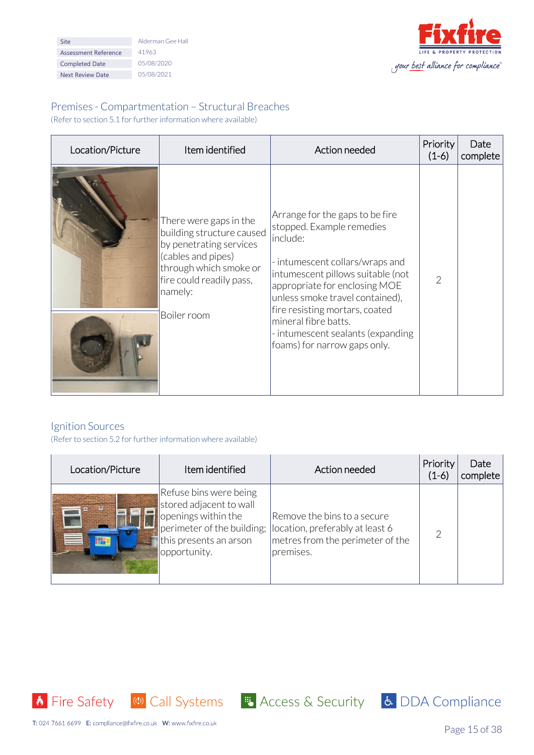| Site                    | Alderman Gee Hall |
|-------------------------|-------------------|
| Assessment Reference    | 41963             |
| <b>Completed Date</b>   | 05/08/2020        |
| <b>Next Review Date</b> | 05/08/2021        |



# Premises - Compartmentation – Structural Breaches

(Refer to section 5.1 for further information where available)

| Location/Picture | Item identified                                                                                                                                                                      | Action needed                                                                                                                                                                                                                                                                                                                                       | Priority<br>$(1-6)$ | Date<br>complete |
|------------------|--------------------------------------------------------------------------------------------------------------------------------------------------------------------------------------|-----------------------------------------------------------------------------------------------------------------------------------------------------------------------------------------------------------------------------------------------------------------------------------------------------------------------------------------------------|---------------------|------------------|
|                  | There were gaps in the<br>building structure caused<br>by penetrating services<br>(cables and pipes)<br>through which smoke or<br>fire could readily pass,<br>namely:<br>Boiler room | Arrange for the gaps to be fire<br>stopped. Example remedies<br>include:<br>- intumescent collars/wraps and<br>intumescent pillows suitable (not<br>appropriate for enclosing MOE<br>unless smoke travel contained),<br>fire resisting mortars, coated<br>mineral fibre batts.<br>- intumescent sealants (expanding<br>foams) for narrow gaps only. | $\mathcal{P}$       |                  |

## Ignition Sources

(Refer to section 5.2 for further information where available)

| Location/Picture | Item identified                                                                                                                                  | Action needed                                                                                                   | Priority<br>$(1-6)$ | Date<br>complete |
|------------------|--------------------------------------------------------------------------------------------------------------------------------------------------|-----------------------------------------------------------------------------------------------------------------|---------------------|------------------|
|                  | Refuse bins were being<br>stored adjacent to wall<br>openings within the<br>perimeter of the building;<br>this presents an arson<br>opportunity. | Remove the bins to a secure<br>location, preferably at least 6<br>metres from the perimeter of the<br>premises. |                     |                  |



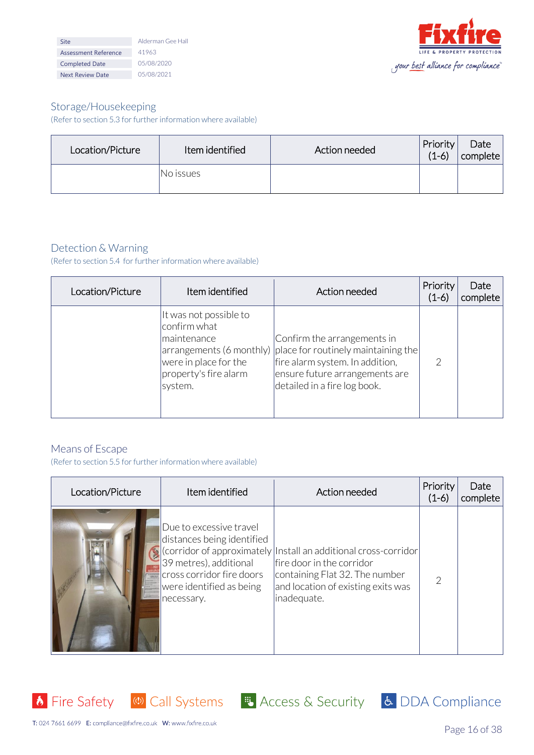| <b>Site</b>             | Alderman Gee Hall |
|-------------------------|-------------------|
| Assessment Reference    | 41963             |
| <b>Completed Date</b>   | 05/08/2020        |
| <b>Next Review Date</b> | 05/08/2021        |



## Storage/Housekeeping

(Refer to section 5.3 for further information where available)

| Location/Picture | Item identified | Action needed | <b>Priority</b><br>$(1-6)$ | Date<br>complete |
|------------------|-----------------|---------------|----------------------------|------------------|
|                  | INo issues      |               |                            |                  |

## Detection & Warning

(Refer to section 5.4 for further information where available)

| Location/Picture | Item identified                                                                                                    | Action needed                                                                                                                                                                                                | Priority<br>$(1-6)$ | Date<br>complete |
|------------------|--------------------------------------------------------------------------------------------------------------------|--------------------------------------------------------------------------------------------------------------------------------------------------------------------------------------------------------------|---------------------|------------------|
|                  | It was not possible to<br>confirm what<br>maintenance<br>were in place for the<br>property's fire alarm<br>system. | Confirm the arrangements in<br>$ $ arrangements (6 monthly) $ $ place for routinely maintaining the $ $<br>fire alarm system. In addition,<br>ensure future arrangements are<br>detailed in a fire log book. | 2                   |                  |

### Means of Escape

(Refer to section 5.5 for further information where available)

| Location/Picture | Item identified                                                                                                                                        | Action needed                                                                                                                                                                                                | Priority<br>$(1-6)$ | Date<br>complete |
|------------------|--------------------------------------------------------------------------------------------------------------------------------------------------------|--------------------------------------------------------------------------------------------------------------------------------------------------------------------------------------------------------------|---------------------|------------------|
|                  | Due to excessive travel<br>distances being identified<br>39 metres), additional<br>cross corridor fire doors<br>were identified as being<br>necessary. | $\left  \cdot \right $ (corridor of approximately  Install an additional cross-corridor<br>lfire door in the corridor<br>containing Flat 32. The number<br>and location of existing exits was<br>inadequate. | $\mathcal{P}$       |                  |



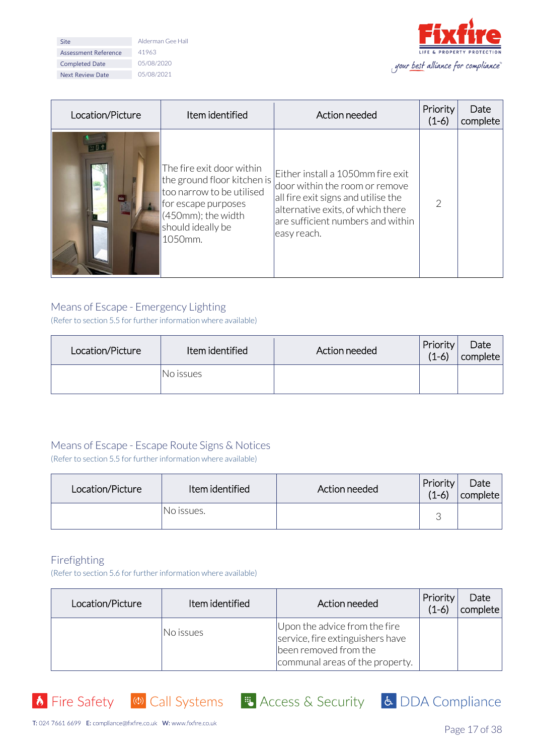| Site                        |
|-----------------------------|
| <b>Assessment Reference</b> |
| <b>Completed Date</b>       |
| <b>Next Review Date</b>     |

Alderman Gee Hall  $41963$  $05/08/2020$  $05/08/2021$ 



| Location/Picture | Item identified                                                                                                                                                       | Action needed                                                                                                                                                                                       | Priority<br>$(1-6)$ | Date<br>complete |
|------------------|-----------------------------------------------------------------------------------------------------------------------------------------------------------------------|-----------------------------------------------------------------------------------------------------------------------------------------------------------------------------------------------------|---------------------|------------------|
| 四哥个              | The fire exit door within<br>the ground floor kitchen is<br>too narrow to be utilised<br>for escape purposes<br>$(450$ mm); the width<br>should ideally be<br>1050mm. | Either install a 1050mm fire exit<br>door within the room or remove<br>all fire exit signs and utilise the<br>alternative exits, of which there<br>are sufficient numbers and within<br>easy reach. |                     |                  |

### Means of Escape - Emergency Lighting

(Refer to section 5.5 for further information where available)

| Location/Picture | Item identified | Action needed | <b>Priority</b><br>$(1-6)$ | Date<br>complete |
|------------------|-----------------|---------------|----------------------------|------------------|
|                  | INo issues      |               |                            |                  |

## Means of Escape - Escape Route Signs & Notices

(Refer to section 5.5 for further information where available)

| Location/Picture | Item identified | Action needed | Priority<br>$(1-6)$ | Date<br>complete |
|------------------|-----------------|---------------|---------------------|------------------|
|                  | INo issues.     |               |                     |                  |

### Firefighting

l.

(Refer to section 5.6 for further information where available)

| Location/Picture | Item identified | Action needed                                                                                                                 | Priority<br>$(1-6)$ | Date<br>complete |
|------------------|-----------------|-------------------------------------------------------------------------------------------------------------------------------|---------------------|------------------|
|                  | No issues       | Upon the advice from the fire<br>service, fire extinguishers have<br>been removed from the<br>communal areas of the property. |                     |                  |

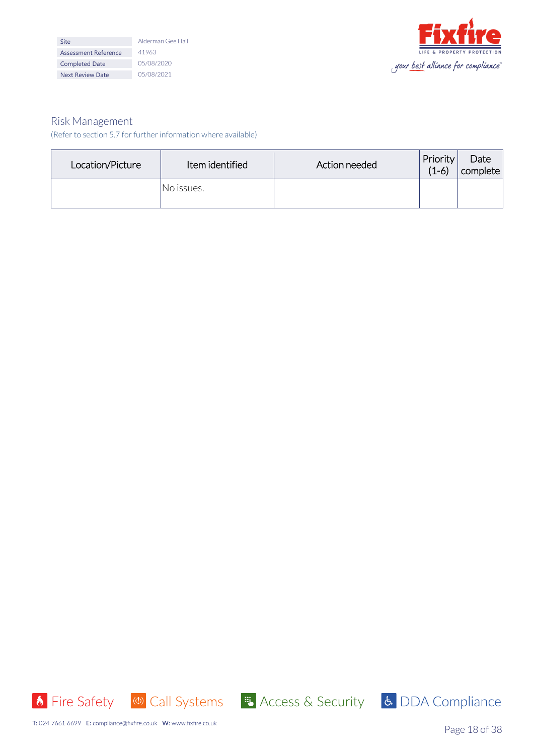| <b>Site</b>                 | Alderman Gee Hall |
|-----------------------------|-------------------|
| <b>Assessment Reference</b> | 41963             |
| <b>Completed Date</b>       | 05/08/2020        |
| <b>Next Review Date</b>     | 05/08/2021        |



#### Risk Management (Refer to section 5.7 for further information where available)

| Location/Picture | Item identified | Action needed | Priority<br>$(1-6)$ | Date<br>complete |
|------------------|-----------------|---------------|---------------------|------------------|
|                  | No issues.      |               |                     |                  |





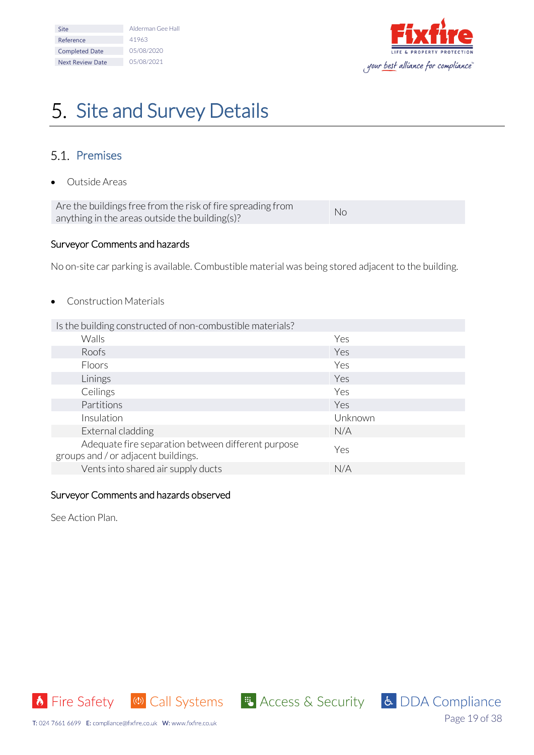| Site                    | Alderman Gee Hall |
|-------------------------|-------------------|
| Reference               | 41963             |
| <b>Completed Date</b>   | 05/08/2020        |
| <b>Next Review Date</b> | 05/08/2021        |



# <span id="page-18-0"></span>5. Site and Survey Details

## <span id="page-18-1"></span>5.1 Premises

• Outside Areas

Are the buildings free from the risk of fire spreading from Are the buildings if een on the risk of hile spreading from No.<br>anything in the areas outside the building(s)?

#### Surveyor Comments and hazards

No on-site car parking is available. Combustible material was being stored adjacent to the building.

• Construction Materials

| Is the building constructed of non-combustible materials?                                 |         |
|-------------------------------------------------------------------------------------------|---------|
| <b>Walls</b>                                                                              | Yes     |
| Roofs                                                                                     | Yes     |
| Floors                                                                                    | Yes     |
| Linings                                                                                   | Yes     |
| Ceilings                                                                                  | Yes     |
| Partitions                                                                                | Yes     |
| Insulation                                                                                | Unknown |
| External cladding                                                                         | N/A     |
| Adequate fire separation between different purpose<br>groups and / or adjacent buildings. | Yes     |
| Vents into shared air supply ducts                                                        | N/A     |

#### Surveyor Comments and hazards observed

See Action Plan.

**b** Fire Safety (4) Call Systems

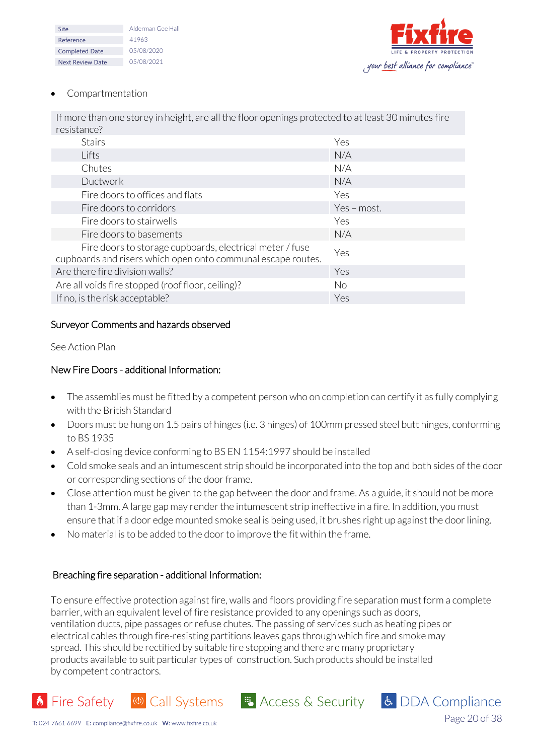| Site                    | Alderman Gee Hall |
|-------------------------|-------------------|
| Reference               | 41963             |
| <b>Completed Date</b>   | 05/08/2020        |
| <b>Next Review Date</b> | 05/08/2021        |



Page 20 of 38

& DDA Compliance

#### • Compartmentation

If more than one storey in height, are all the floor openings protected to at least 30 minutes fire resistance?

| <b>Stairs</b>                                                                                                            | Yes         |
|--------------------------------------------------------------------------------------------------------------------------|-------------|
| Lifts                                                                                                                    | N/A         |
| Chutes                                                                                                                   | N/A         |
| <b>Ductwork</b>                                                                                                          | N/A         |
| Fire doors to offices and flats                                                                                          | Yes         |
| Fire doors to corridors                                                                                                  | Yes - most. |
| Fire doors to stairwells                                                                                                 | Yes         |
| Fire doors to basements                                                                                                  | N/A         |
| Fire doors to storage cupboards, electrical meter / fuse<br>cupboards and risers which open onto communal escape routes. | Yes         |
| Are there fire division walls?                                                                                           | Yes         |
| Are all voids fire stopped (roof floor, ceiling)?                                                                        | No.         |
| If no, is the risk acceptable?                                                                                           | Yes         |

#### Surveyor Comments and hazards observed

#### See Action Plan

#### New Fire Doors - additional Information:

- The assemblies must be fitted by a competent person who on completion can certify it as fully complying with the British Standard
- Doors must be hung on 1.5 pairs of hinges (i.e. 3 hinges) of 100mm pressed steel butt hinges, conforming to BS 1935
- A self-closing device conforming to BS EN 1154:1997 should be installed
- Cold smoke seals and an intumescent strip should be incorporated into the top and both sides of the door or corresponding sections of the door frame.
- Close attention must be given to the gap between the door and frame. As a guide, it should not be more than 1-3mm. A large gap may render the intumescent strip ineffective in a fire. In addition, you must ensure that if a door edge mounted smoke seal is being used, it brushes right up against the door lining.
- No material is to be added to the door to improve the fit within the frame.

### Breaching fire separation - additional Information:

To ensure effective protection against fire, walls and floors providing fire separation must form a complete barrier, with an equivalent level of fire resistance provided to any openings such as doors, ventilation ducts, pipe passages or refuse chutes. The passing of services such as heating pipes or electrical cables through fire-resisting partitions leaves gaps through which fire and smoke may spread. This should be rectified by suitable fire stopping and there are many proprietary products available to suit particular types of construction. Such products should be installed by competent contractors.

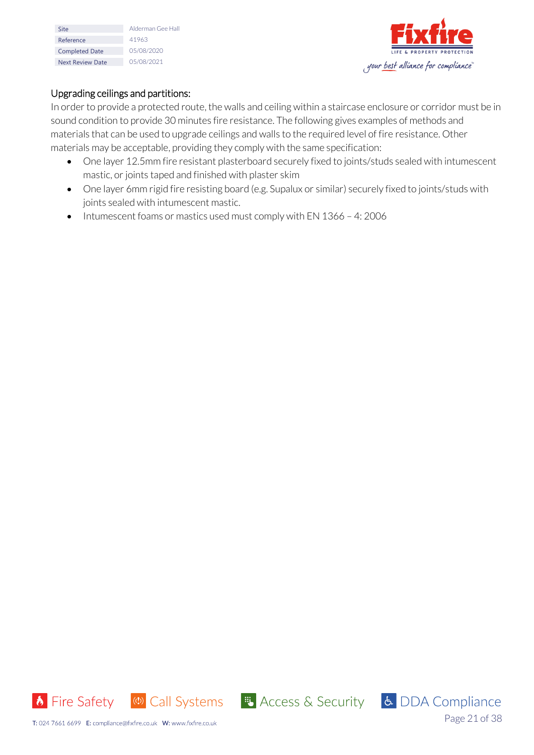| Site                    | Alderman Gee Hall |
|-------------------------|-------------------|
| Reference               | 41963             |
| <b>Completed Date</b>   | 05/08/2020        |
| <b>Next Review Date</b> | 05/08/2021        |



### Upgrading ceilings and partitions:

In order to provide a protected route, the walls and ceiling within a staircase enclosure or corridor must be in sound condition to provide 30 minutes fire resistance. The following gives examples of methods and materials that can be used to upgrade ceilings and walls to the required level of fire resistance. Other materials may be acceptable, providing they comply with the same specification:

- One layer 12.5mm fire resistant plasterboard securely fixed to joints/studs sealed with intumescent mastic, or joints taped and finished with plaster skim
- One layer 6mm rigid fire resisting board (e.g. Supalux or similar) securely fixed to joints/studs with joints sealed with intumescent mastic.
- Intumescent foams or mastics used must comply with EN 1366 4: 2006



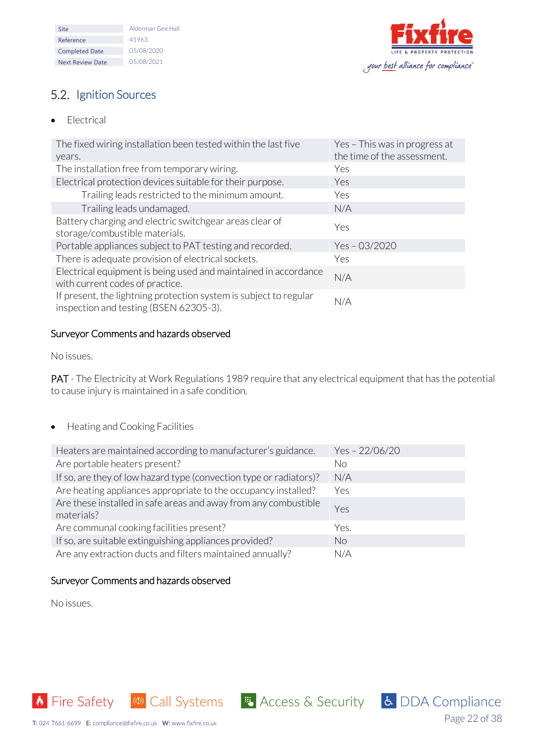| Site                    | Alderman Gee Hall |
|-------------------------|-------------------|
| Reference               | 41963             |
| <b>Completed Date</b>   | 05/08/2020        |
| <b>Next Review Date</b> | 05/08/2021        |



Page 22 of 38

# <span id="page-21-0"></span>5.2. Ignition Sources

• Electrical

| The fixed wiring installation been tested within the last five<br>years.                                    | Yes - This was in progress at<br>the time of the assessment. |
|-------------------------------------------------------------------------------------------------------------|--------------------------------------------------------------|
| The installation free from temporary wiring.                                                                | Yes                                                          |
| Electrical protection devices suitable for their purpose.                                                   | Yes                                                          |
| Trailing leads restricted to the minimum amount.                                                            | Yes                                                          |
| Trailing leads undamaged.                                                                                   | N/A                                                          |
| Battery charging and electric switchgear areas clear of<br>storage/combustible materials.                   | Yes                                                          |
| Portable appliances subject to PAT testing and recorded.                                                    | $Yes - 03/2020$                                              |
| There is adequate provision of electrical sockets.                                                          | Yes                                                          |
| Electrical equipment is being used and maintained in accordance<br>with current codes of practice.          | N/A                                                          |
| If present, the lightning protection system is subject to regular<br>inspection and testing (BSEN 62305-3). | N/A                                                          |

### Surveyor Comments and hazards observed

No issues.

PAT - The Electricity at Work Regulations 1989 require that any electrical equipment that has the potential to cause injury is maintained in a safe condition.

## • Heating and Cooking Facilities

| Heaters are maintained according to manufacturer's guidance.                  | Yes-22/06/20 |
|-------------------------------------------------------------------------------|--------------|
| Are portable heaters present?                                                 | No           |
| If so, are they of low hazard type (convection type or radiators)?            | N/A          |
| Are heating appliances appropriate to the occupancy installed?                | Yes          |
| Are these installed in safe areas and away from any combustible<br>materials? | Yes          |
| Are communal cooking facilities present?                                      | Yes.         |
| If so, are suitable extinguishing appliances provided?                        | <b>No</b>    |
| Are any extraction ducts and filters maintained annually?                     | N/A          |

### Surveyor Comments and hazards observed

No issues.

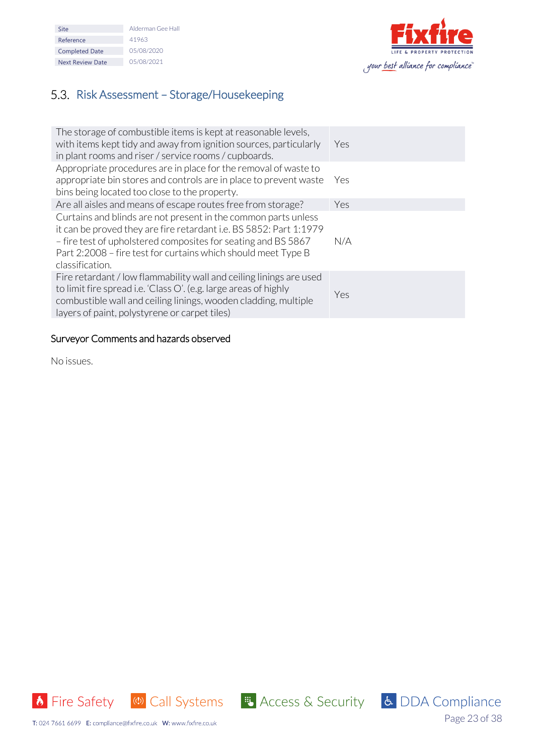| Site                    | Alderman Gee Hall |
|-------------------------|-------------------|
| Reference               | 41963             |
| <b>Completed Date</b>   | 05/08/2020        |
| <b>Next Review Date</b> | 05/08/2021        |



# <span id="page-22-0"></span>5.3. Risk Assessment - Storage/Housekeeping

| The storage of combustible items is kept at reasonable levels,<br>with items kept tidy and away from ignition sources, particularly<br>in plant rooms and riser / service rooms / cupboards.                                                                                              | Yes   |
|-------------------------------------------------------------------------------------------------------------------------------------------------------------------------------------------------------------------------------------------------------------------------------------------|-------|
| Appropriate procedures are in place for the removal of waste to<br>appropriate bin stores and controls are in place to prevent waste<br>bins being located too close to the property.                                                                                                     | - Yes |
| Are all aisles and means of escape routes free from storage?                                                                                                                                                                                                                              | Yes   |
| Curtains and blinds are not present in the common parts unless<br>it can be proved they are fire retardant i.e. BS 5852: Part 1:1979<br>- fire test of upholstered composites for seating and BS 5867<br>Part 2:2008 - fire test for curtains which should meet Type B<br>classification. | N/A   |
| Fire retardant / low flammability wall and ceiling linings are used<br>to limit fire spread i.e. 'Class O'. (e.g. large areas of highly<br>combustible wall and ceiling linings, wooden cladding, multiple<br>layers of paint, polystyrene or carpet tiles)                               | Yes   |

## Surveyor Comments and hazards observed

No issues.





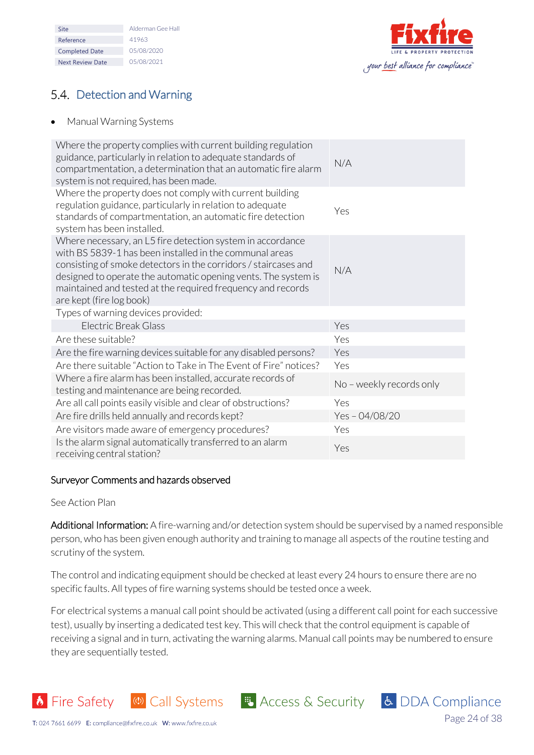| Site                    | Alderman Gee Hall |
|-------------------------|-------------------|
| Reference               | 41963             |
| <b>Completed Date</b>   | 05/08/2020        |
| <b>Next Review Date</b> | 05/08/2021        |



# <span id="page-23-0"></span>5.4. Detection and Warning

• Manual Warning Systems

| Where the property complies with current building regulation<br>guidance, particularly in relation to adequate standards of<br>compartmentation, a determination that an automatic fire alarm<br>system is not required, has been made.                                                                                                               | N/A                      |
|-------------------------------------------------------------------------------------------------------------------------------------------------------------------------------------------------------------------------------------------------------------------------------------------------------------------------------------------------------|--------------------------|
| Where the property does not comply with current building<br>regulation guidance, particularly in relation to adequate<br>standards of compartmentation, an automatic fire detection<br>system has been installed.                                                                                                                                     | Yes                      |
| Where necessary, an L5 fire detection system in accordance<br>with BS 5839-1 has been installed in the communal areas<br>consisting of smoke detectors in the corridors / staircases and<br>designed to operate the automatic opening vents. The system is<br>maintained and tested at the required frequency and records<br>are kept (fire log book) | N/A                      |
| Types of warning devices provided:                                                                                                                                                                                                                                                                                                                    |                          |
| Electric Break Glass                                                                                                                                                                                                                                                                                                                                  | Yes                      |
| Are these suitable?                                                                                                                                                                                                                                                                                                                                   | Yes                      |
| Are the fire warning devices suitable for any disabled persons?                                                                                                                                                                                                                                                                                       | Yes                      |
| Are there suitable "Action to Take in The Event of Fire" notices?                                                                                                                                                                                                                                                                                     | Yes                      |
| Where a fire alarm has been installed, accurate records of<br>testing and maintenance are being recorded.                                                                                                                                                                                                                                             | No - weekly records only |
| Are all call points easily visible and clear of obstructions?                                                                                                                                                                                                                                                                                         | Yes                      |
| Are fire drills held annually and records kept?                                                                                                                                                                                                                                                                                                       | Yes-04/08/20             |
| Are visitors made aware of emergency procedures?                                                                                                                                                                                                                                                                                                      | Yes                      |
| Is the alarm signal automatically transferred to an alarm<br>receiving central station?                                                                                                                                                                                                                                                               | Yes                      |

## Surveyor Comments and hazards observed

#### See Action Plan

**b** Fire Safety

Additional Information: A fire-warning and/or detection system should be supervised by a named responsible person, who has been given enough authority and training to manage all aspects of the routine testing and scrutiny of the system.

The control and indicating equipment should be checked at least every 24 hours to ensure there are no specific faults. All types of fire warning systems should be tested once a week.

For electrical systems a manual call point should be activated (using a different call point for each successive test), usually by inserting a dedicated test key. This will check that the control equipment is capable of receiving a signal and in turn, activating the warning alarms. Manual call points may be numbered to ensure they are sequentially tested.

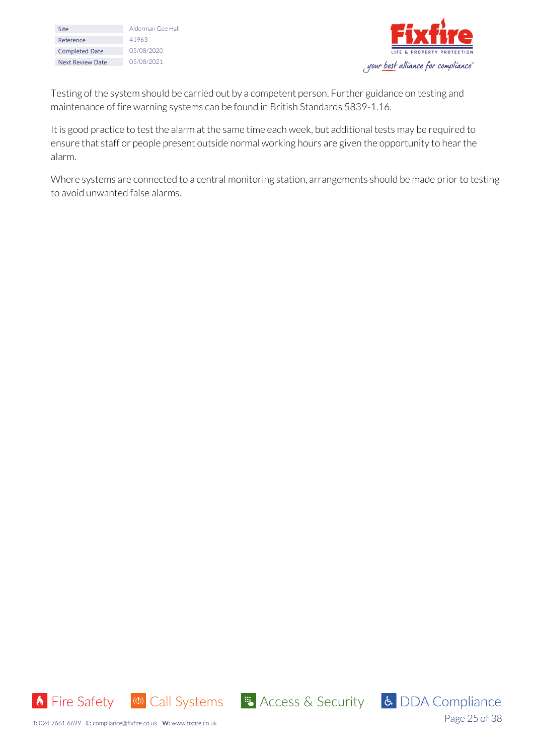| Site                    | Alderman Gee Hall |
|-------------------------|-------------------|
|                         |                   |
| Reference               | 41963             |
| <b>Completed Date</b>   | 05/08/2020        |
| <b>Next Review Date</b> | 05/08/2021        |



Testing of the system should be carried out by a competent person. Further guidance on testing and maintenance of fire warning systems can be found in British Standards 5839-1.16.

It is good practice to test the alarm at the same time each week, but additional tests may be required to ensure that staff or people present outside normal working hours are given the opportunity to hear the alarm.

Where systems are connected to a central monitoring station, arrangements should be made prior to testing to avoid unwanted false alarms.



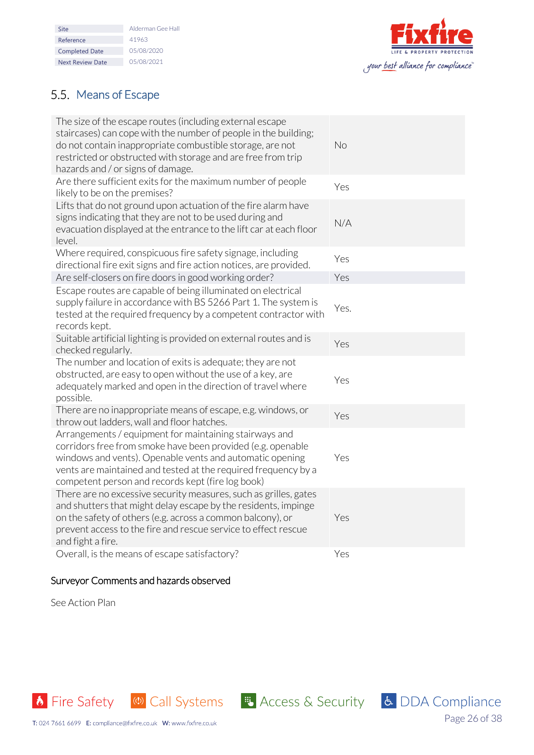| Site                    | Alderman Gee Hall |
|-------------------------|-------------------|
| Reference               | 41963             |
| <b>Completed Date</b>   | 05/08/2020        |
| <b>Next Review Date</b> | 05/08/2021        |
|                         |                   |



Page 26 of 38

# <span id="page-25-0"></span>5.5. Means of Escape

| The size of the escape routes (including external escape<br>staircases) can cope with the number of people in the building;<br>do not contain inappropriate combustible storage, are not<br>restricted or obstructed with storage and are free from trip<br>hazards and / or signs of damage.            | No   |
|----------------------------------------------------------------------------------------------------------------------------------------------------------------------------------------------------------------------------------------------------------------------------------------------------------|------|
| Are there sufficient exits for the maximum number of people<br>likely to be on the premises?                                                                                                                                                                                                             | Yes  |
| Lifts that do not ground upon actuation of the fire alarm have<br>signs indicating that they are not to be used during and<br>evacuation displayed at the entrance to the lift car at each floor<br>level.                                                                                               | N/A  |
| Where required, conspicuous fire safety signage, including<br>directional fire exit signs and fire action notices, are provided.                                                                                                                                                                         | Yes  |
| Are self-closers on fire doors in good working order?                                                                                                                                                                                                                                                    | Yes  |
| Escape routes are capable of being illuminated on electrical<br>supply failure in accordance with BS 5266 Part 1. The system is<br>tested at the required frequency by a competent contractor with<br>records kept.                                                                                      | Yes. |
| Suitable artificial lighting is provided on external routes and is<br>checked regularly.                                                                                                                                                                                                                 | Yes  |
| The number and location of exits is adequate; they are not<br>obstructed, are easy to open without the use of a key, are<br>adequately marked and open in the direction of travel where<br>possible.                                                                                                     | Yes  |
| There are no inappropriate means of escape, e.g. windows, or<br>throw out ladders, wall and floor hatches.                                                                                                                                                                                               | Yes  |
| Arrangements / equipment for maintaining stairways and<br>corridors free from smoke have been provided (e.g. openable<br>windows and vents). Openable vents and automatic opening<br>vents are maintained and tested at the required frequency by a<br>competent person and records kept (fire log book) | Yes  |
| There are no excessive security measures, such as grilles, gates<br>and shutters that might delay escape by the residents, impinge<br>on the safety of others (e.g. across a common balcony), or<br>prevent access to the fire and rescue service to effect rescue<br>and fight a fire.                  | Yes  |
| Overall, is the means of escape satisfactory?                                                                                                                                                                                                                                                            | Yes  |

## Surveyor Comments and hazards observed

See Action Plan

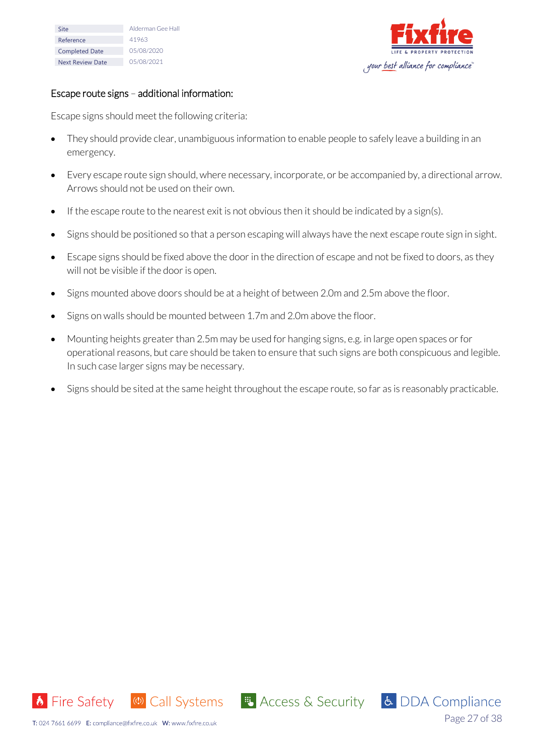| Site                    | Alderman Gee Hall |
|-------------------------|-------------------|
| Reference               | 41963             |
| <b>Completed Date</b>   | 05/08/2020        |
| <b>Next Review Date</b> | 05/08/2021        |



#### Escape route signs – additional information:

Escape signs should meet the following criteria:

- They should provide clear, unambiguous information to enable people to safely leave a building in an emergency.
- Every escape route sign should, where necessary, incorporate, or be accompanied by, a directional arrow. Arrows should not be used on their own.
- If the escape route to the nearest exit is not obvious then it should be indicated by a sign(s).
- Signs should be positioned so that a person escaping will always have the next escape route sign in sight.
- Escape signs should be fixed above the door in the direction of escape and not be fixed to doors, as they will not be visible if the door is open.
- Signs mounted above doors should be at a height of between 2.0m and 2.5m above the floor.
- Signs on walls should be mounted between 1.7m and 2.0m above the floor.
- Mounting heights greater than 2.5m may be used for hanging signs, e.g. in large open spaces or for operational reasons, but care should be taken to ensure that such signs are both conspicuous and legible. In such case larger signs may be necessary.
- Signs should be sited at the same height throughout the escape route, so far as is reasonably practicable.



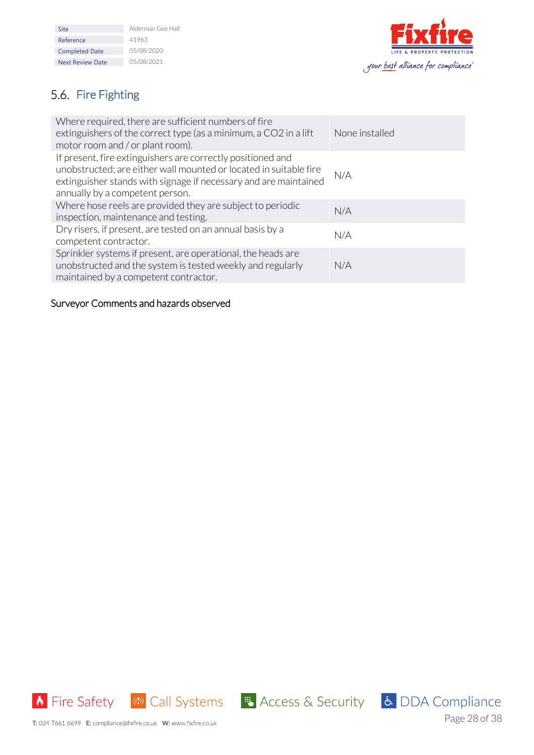| Alderman Gee Hall |
|-------------------|
| 41963             |
| 05/08/2020        |
| 05/08/2021        |
|                   |



# <span id="page-27-0"></span>5.6. Fire Fighting

| Where required, there are sufficient numbers of fire<br>extinguishers of the correct type (as a minimum, a CO2 in a lift<br>motor room and / or plant room).                                                                            | None installed |
|-----------------------------------------------------------------------------------------------------------------------------------------------------------------------------------------------------------------------------------------|----------------|
| If present, fire extinguishers are correctly positioned and<br>unobstructed; are either wall mounted or located in suitable fire<br>extinguisher stands with signage if necessary and are maintained<br>annually by a competent person. | N/A            |
| Where hose reels are provided they are subject to periodic<br>inspection, maintenance and testing.                                                                                                                                      | N/A            |
| Dry risers, if present, are tested on an annual basis by a<br>competent contractor.                                                                                                                                                     | N/A            |
| Sprinkler systems if present, are operational, the heads are<br>unobstructed and the system is tested weekly and regularly<br>maintained by a competent contractor.                                                                     | N/A            |

## Surveyor Comments and hazards observed





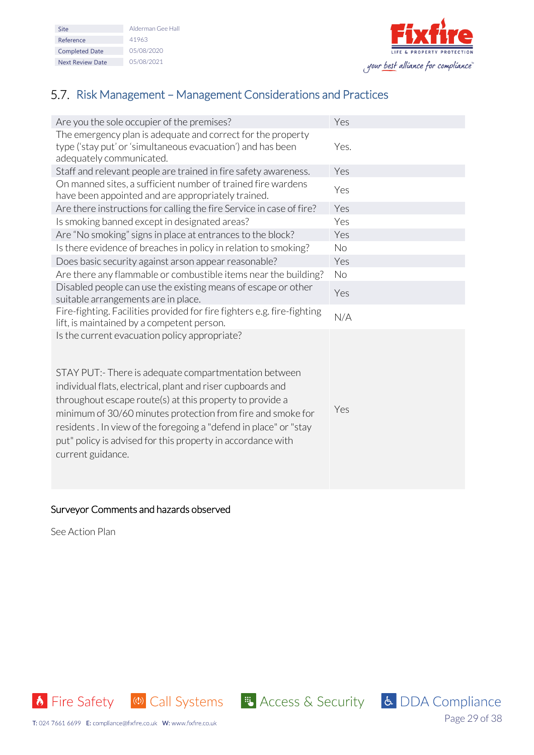| Site                    | Alderman Gee Hall |
|-------------------------|-------------------|
| Reference               | 41963             |
| <b>Completed Date</b>   | 05/08/2020        |
| <b>Next Review Date</b> | 05/08/2021        |



# <span id="page-28-0"></span>5.7. Risk Management – Management Considerations and Practices

| Are you the sole occupier of the premises?                                                                                                                                                                                                                                                                                                                                                                                                              | Yes       |
|---------------------------------------------------------------------------------------------------------------------------------------------------------------------------------------------------------------------------------------------------------------------------------------------------------------------------------------------------------------------------------------------------------------------------------------------------------|-----------|
| The emergency plan is adequate and correct for the property<br>type ('stay put' or 'simultaneous evacuation') and has been<br>adequately communicated.                                                                                                                                                                                                                                                                                                  | Yes.      |
| Staff and relevant people are trained in fire safety awareness.                                                                                                                                                                                                                                                                                                                                                                                         | Yes       |
| On manned sites, a sufficient number of trained fire wardens<br>have been appointed and are appropriately trained.                                                                                                                                                                                                                                                                                                                                      | Yes       |
| Are there instructions for calling the fire Service in case of fire?                                                                                                                                                                                                                                                                                                                                                                                    | Yes       |
| Is smoking banned except in designated areas?                                                                                                                                                                                                                                                                                                                                                                                                           | Yes       |
| Are "No smoking" signs in place at entrances to the block?                                                                                                                                                                                                                                                                                                                                                                                              | Yes       |
| Is there evidence of breaches in policy in relation to smoking?                                                                                                                                                                                                                                                                                                                                                                                         | <b>No</b> |
| Does basic security against arson appear reasonable?                                                                                                                                                                                                                                                                                                                                                                                                    | Yes       |
| Are there any flammable or combustible items near the building?                                                                                                                                                                                                                                                                                                                                                                                         | <b>No</b> |
| Disabled people can use the existing means of escape or other<br>suitable arrangements are in place.                                                                                                                                                                                                                                                                                                                                                    | Yes       |
| Fire-fighting. Facilities provided for fire fighters e.g. fire-fighting<br>lift, is maintained by a competent person.                                                                                                                                                                                                                                                                                                                                   | N/A       |
| Is the current evacuation policy appropriate?<br>STAY PUT: There is adequate compartmentation between<br>individual flats, electrical, plant and riser cupboards and<br>throughout escape route(s) at this property to provide a<br>minimum of 30/60 minutes protection from fire and smoke for<br>residents. In view of the foregoing a "defend in place" or "stay<br>put" policy is advised for this property in accordance with<br>current guidance. | Yes       |

## Surveyor Comments and hazards observed

See Action Plan

**6** Fire Safety (1) Call Systems **4** Access & Security **6** DDA Compliance



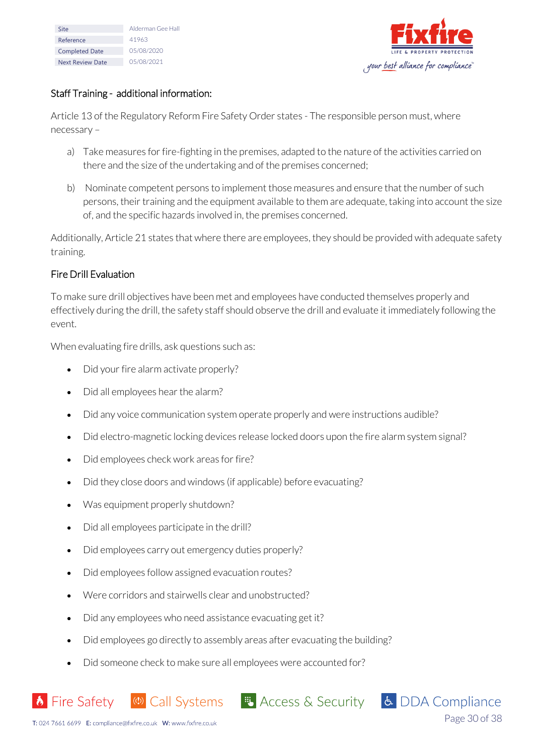| Site                    | Alderman Gee Hall |
|-------------------------|-------------------|
| Reference               | 41963             |
| <b>Completed Date</b>   | 05/08/2020        |
| <b>Next Review Date</b> | 05/08/2021        |



Page 30 of 38

& DDA Compliance

### Staff Training - additional information:

Article 13 of the Regulatory Reform Fire Safety Order states - The responsible person must, where necessary –

- a) Take measures for fire-fighting in the premises, adapted to the nature of the activities carried on there and the size of the undertaking and of the premises concerned;
- b) Nominate competent persons to implement those measures and ensure that the number of such persons, their training and the equipment available to them are adequate, taking into account the size of, and the specific hazards involved in, the premises concerned.

Additionally, Article 21 states that where there are employees, they should be provided with adequate safety training.

### Fire Drill Evaluation

To make sure drill objectives have been met and employees have conducted themselves properly and effectively during the drill, the safety staff should observe the drill and evaluate it immediately following the event.

When evaluating fire drills, ask questions such as:

- Did your fire alarm activate properly?
- Did all employees hear the alarm?
- Did any voice communication system operate properly and were instructions audible?
- Did electro-magnetic locking devices release locked doors upon the fire alarm system signal?
- Did employees check work areas for fire?
- Did they close doors and windows (if applicable) before evacuating?
- Was equipment properly shutdown?
- Did all employees participate in the drill?
- Did employees carry out emergency duties properly?
- Did employees follow assigned evacuation routes?
- Were corridors and stairwells clear and unobstructed?
- Did any employees who need assistance evacuating get it?
- Did employees go directly to assembly areas after evacuating the building?

(4) Call Systems **# Access & Security** 

• Did someone check to make sure all employees were accounted for?

**b** Fire Safety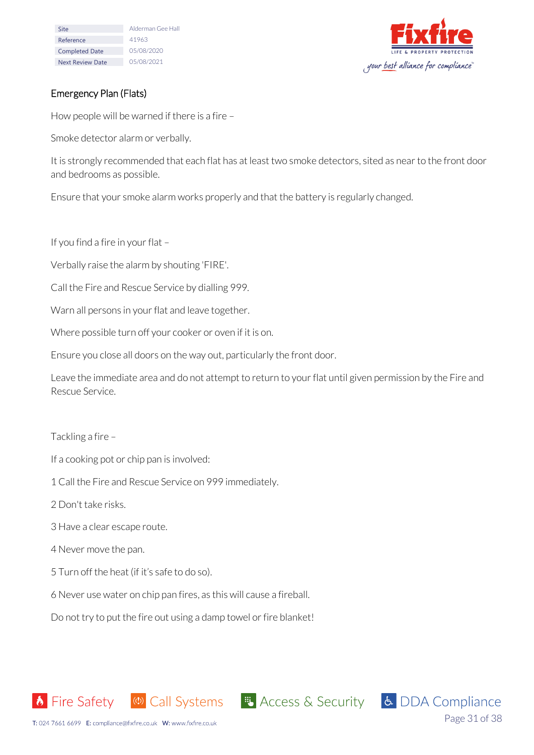| Site                    | Alderman Gee Hall |
|-------------------------|-------------------|
| Reference               | 41963             |
| <b>Completed Date</b>   | 05/08/2020        |
| <b>Next Review Date</b> | 05/08/2021        |



## Emergency Plan (Flats)

How people will be warned if there is a fire –

Smoke detector alarm or verbally.

It is strongly recommended that each flat has at least two smoke detectors, sited as near to the front door and bedrooms as possible.

Ensure that your smoke alarm works properly and that the battery is regularly changed.

If you find a fire in your flat –

Verbally raise the alarm by shouting 'FIRE'.

Call the Fire and Rescue Service by dialling 999.

Warn all persons in your flat and leave together.

Where possible turn off your cooker or oven if it is on.

Ensure you close all doors on the way out, particularly the front door.

Leave the immediate area and do not attempt to return to your flat until given permission by the Fire and Rescue Service.

Tackling a fire –

If a cooking pot or chip pan is involved:

1 Call the Fire and Rescue Service on 999 immediately.

2 Don't take risks.

3 Have a clear escape route.

4 Never move the pan.

5 Turn off the heat (if it's safe to do so).

6 Never use water on chip pan fires, as this will cause a fireball.

Do not try to put the fire out using a damp towel or fire blanket!

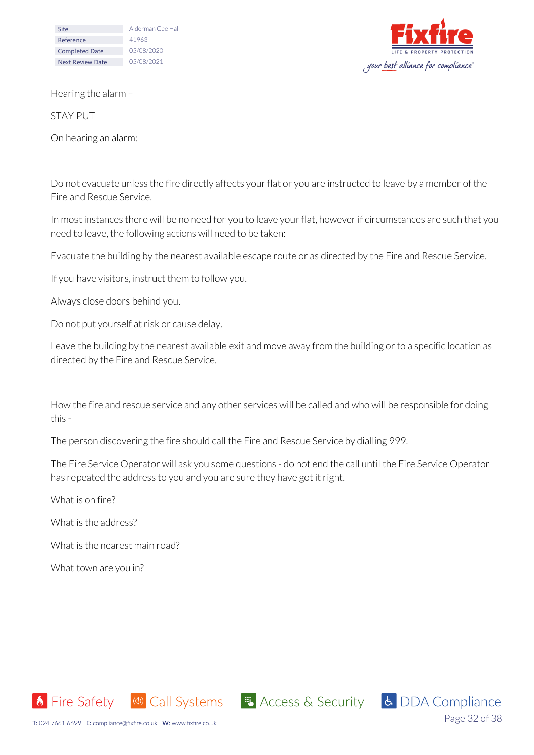| Site                    | Alderman Gee Hall |
|-------------------------|-------------------|
| Reference               | 41963             |
| <b>Completed Date</b>   | 05/08/2020        |
| <b>Next Review Date</b> | 05/08/2021        |



Hearing the alarm –

STAY PUT

On hearing an alarm:

Do not evacuate unless the fire directly affects your flat or you are instructed to leave by a member of the Fire and Rescue Service.

In most instances there will be no need for you to leave your flat, however if circumstances are such that you need to leave, the following actions will need to be taken:

Evacuate the building by the nearest available escape route or as directed by the Fire and Rescue Service.

If you have visitors, instruct them to follow you.

Always close doors behind you.

Do not put yourself at risk or cause delay.

Leave the building by the nearest available exit and move away from the building or to a specific location as directed by the Fire and Rescue Service.

How the fire and rescue service and any other services will be called and who will be responsible for doing this -

The person discovering the fire should call the Fire and Rescue Service by dialling 999.

The Fire Service Operator will ask you some questions - do not end the call until the Fire Service Operator has repeated the address to you and you are sure they have got it right.

What is on fire?

What is the address?

What is the nearest main road?

What town are you in?







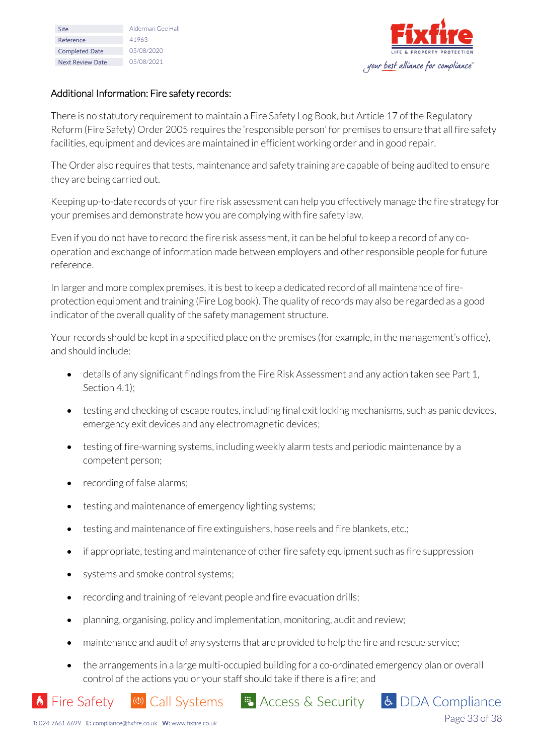| Site                    | Alderman Gee Hall |
|-------------------------|-------------------|
| Reference               | 41963             |
| <b>Completed Date</b>   | 05/08/2020        |
| <b>Next Review Date</b> | 05/08/2021        |
|                         |                   |



Page 33 of 38

### Additional Information: Fire safety records:

There is no statutory requirement to maintain a Fire Safety Log Book, but Article 17 of the Regulatory Reform (Fire Safety) Order 2005 requires the 'responsible person' for premises to ensure that all fire safety facilities, equipment and devices are maintained in efficient working order and in good repair.

The Order also requires that tests, maintenance and safety training are capable of being audited to ensure they are being carried out.

Keeping up-to-date records of your fire risk assessment can help you effectively manage the fire strategy for your premises and demonstrate how you are complying with fire safety law.

Even if you do not have to record the fire risk assessment, it can be helpful to keep a record of any cooperation and exchange of information made between employers and other responsible people for future reference.

In larger and more complex premises, it is best to keep a dedicated record of all maintenance of fireprotection equipment and training (Fire Log book). The quality of records may also be regarded as a good indicator of the overall quality of the safety management structure.

Your records should be kept in a specified place on the premises (for example, in the management's office), and should include:

- details of any significant findings from the Fire Risk Assessment and any action taken see Part 1, Section 4.1);
- testing and checking of escape routes, including final exit locking mechanisms, such as panic devices, emergency exit devices and any electromagnetic devices;
- testing of fire-warning systems, including weekly alarm tests and periodic maintenance by a competent person;
- recording of false alarms;
- testing and maintenance of emergency lighting systems;

(c) Call Systems

- testing and maintenance of fire extinguishers, hose reels and fire blankets, etc.;
- if appropriate, testing and maintenance of other fire safety equipment such as fire suppression
- systems and smoke control systems:
- recording and training of relevant people and fire evacuation drills;
- planning, organising, policy and implementation, monitoring, audit and review;
- maintenance and audit of any systems that are provided to help the fire and rescue service;
- the arrangements in a large multi-occupied building for a co-ordinated emergency plan or overall control of the actions you or your staff should take if there is a fire; and

**E** Access & Security **& DDA Compliance** 

**b** Fire Safety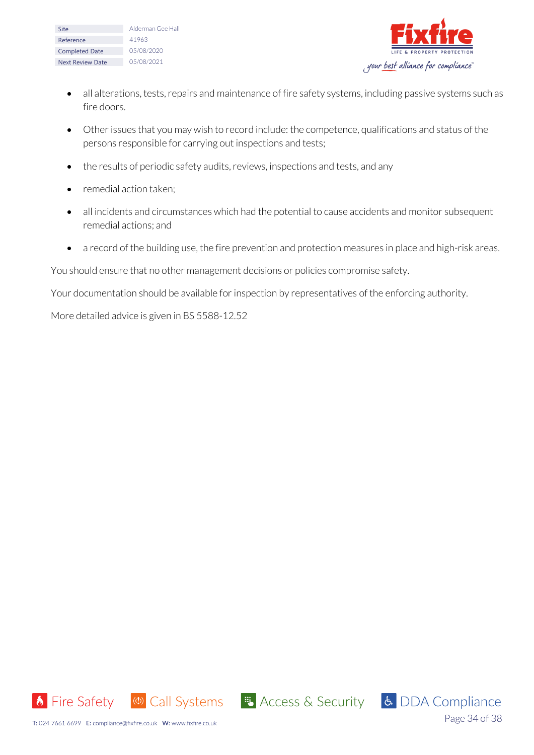| Site                    | Alderman Gee Hall |  |  |
|-------------------------|-------------------|--|--|
| Reference               | 41963             |  |  |
| <b>Completed Date</b>   | 05/08/2020        |  |  |
| <b>Next Review Date</b> | 05/08/2021        |  |  |



- all alterations, tests, repairs and maintenance of fire safety systems, including passive systems such as fire doors.
- Other issues that you may wish to record include: the competence, qualifications and status of the persons responsible for carrying out inspections and tests;
- the results of periodic safety audits, reviews, inspections and tests, and any
- remedial action taken:
- all incidents and circumstances which had the potential to cause accidents and monitor subsequent remedial actions; and
- a record of the building use, the fire prevention and protection measures in place and high-risk areas.

You should ensure that no other management decisions or policies compromise safety.

Your documentation should be available for inspection by representatives of the enforcing authority.

More detailed advice is given in BS 5588-12.52



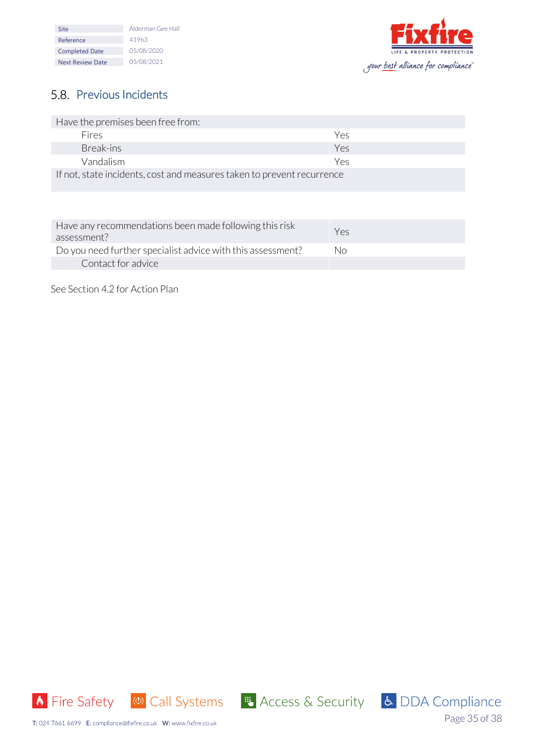| Site                    | Alderman Gee Hall |  |
|-------------------------|-------------------|--|
| Reference               | 41963             |  |
| <b>Completed Date</b>   | 05/08/2020        |  |
| <b>Next Review Date</b> | 05/08/2021        |  |



# <span id="page-34-0"></span>5.8. Previous Incidents

| Have the premises been free from:                                      |     |  |
|------------------------------------------------------------------------|-----|--|
| Fires                                                                  | Yρς |  |
| Break-ins                                                              | Yes |  |
| Vandalism                                                              | Yρς |  |
| If not, state incidents, cost and measures taken to prevent recurrence |     |  |

| Have any recommendations been made following this risk<br>assessment? | Yes |
|-----------------------------------------------------------------------|-----|
| Do you need further specialist advice with this assessment?           | Nο  |
| Contact for advice                                                    |     |

See Section 4.2 for Action Plan



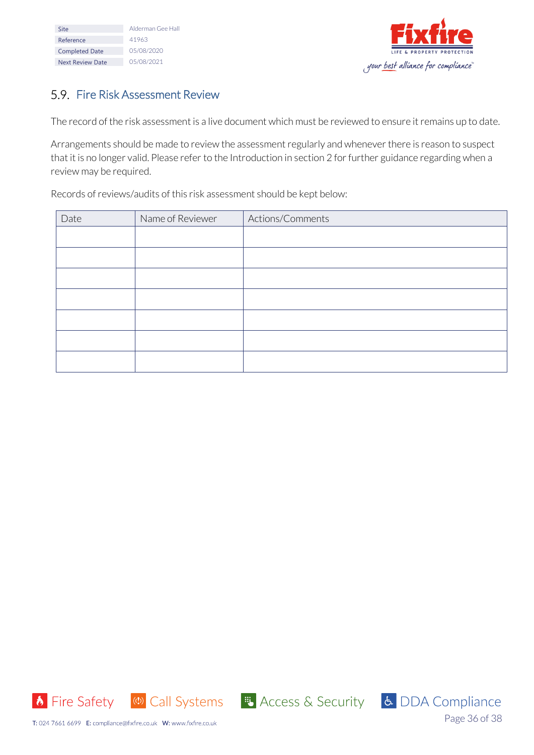| Site                    | Alderman Gee Hall |  |
|-------------------------|-------------------|--|
| Reference               | 41963             |  |
| <b>Completed Date</b>   | 05/08/2020        |  |
| <b>Next Review Date</b> | 05/08/2021        |  |



# <span id="page-35-0"></span>5.9. Fire Risk Assessment Review

The record of the risk assessment is a live document which must be reviewed to ensure it remains up to date.

Arrangements should be made to review the assessment regularly and whenever there is reason to suspect that it is no longer valid. Please refer to the Introduction in section 2 for further guidance regarding when a review may be required.

Records of reviews/audits of this risk assessment should be kept below:

| Date | Name of Reviewer | Actions/Comments |
|------|------------------|------------------|
|      |                  |                  |
|      |                  |                  |
|      |                  |                  |
|      |                  |                  |
|      |                  |                  |
|      |                  |                  |
|      |                  |                  |



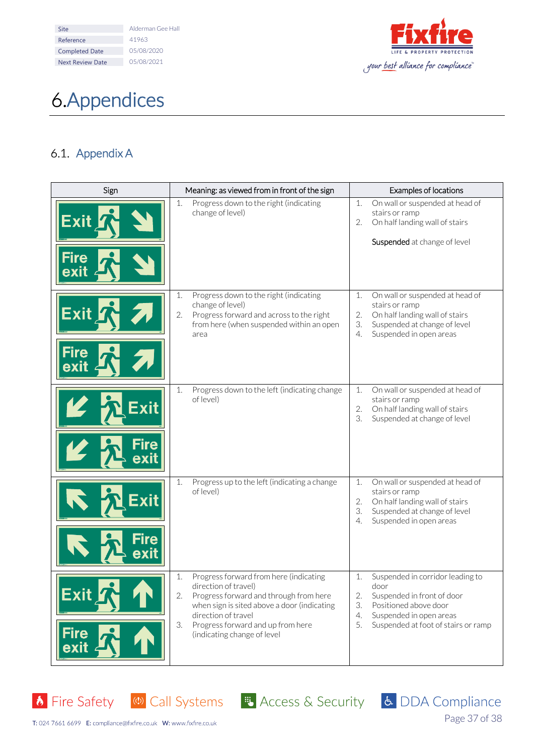| Site                    | Alderman Gee Hall |
|-------------------------|-------------------|
| Reference               | 41963             |
| <b>Completed Date</b>   | 05/08/2020        |
| <b>Next Review Date</b> | 05/08/2021        |



# <span id="page-36-0"></span>Appendices

# <span id="page-36-1"></span>6.1. Appendix A

| Sign<br>Meaning: as viewed from in front of the sign |                                                                                                                                                                                                                                                                      | Examples of locations                                                                                                                                                                           |  |
|------------------------------------------------------|----------------------------------------------------------------------------------------------------------------------------------------------------------------------------------------------------------------------------------------------------------------------|-------------------------------------------------------------------------------------------------------------------------------------------------------------------------------------------------|--|
| <u>Exit</u><br>Fire                                  | Progress down to the right (indicating<br>1.<br>change of level)                                                                                                                                                                                                     | On wall or suspended at head of<br>1.<br>stairs or ramp<br>On half landing wall of stairs<br>2.<br>Suspended at change of level                                                                 |  |
| Exit<br>Fire                                         | 1.<br>Progress down to the right (indicating<br>change of level)<br>Progress forward and across to the right<br>2.<br>from here (when suspended within an open<br>area                                                                                               | 1.<br>On wall or suspended at head of<br>stairs or ramp<br>2.<br>On half landing wall of stairs<br>3.<br>Suspended at change of level<br>Suspended in open areas<br>4.                          |  |
| Exit                                                 | Progress down to the left (indicating change<br>1.<br>of level)                                                                                                                                                                                                      | On wall or suspended at head of<br>1.<br>stairs or ramp<br>2.<br>On half landing wall of stairs<br>3.<br>Suspended at change of level                                                           |  |
| Exit                                                 | Progress up to the left (indicating a change<br>1.<br>of level)                                                                                                                                                                                                      | On wall or suspended at head of<br>1.<br>stairs or ramp<br>2.<br>On half landing wall of stairs<br>3.<br>Suspended at change of level<br>4.<br>Suspended in open areas                          |  |
| Exit<br><b>Fire</b><br>exit                          | Progress forward from here (indicating<br>1.<br>direction of travel)<br>2.<br>Progress forward and through from here<br>when sign is sited above a door (indicating<br>direction of travel<br>3.<br>Progress forward and up from here<br>(indicating change of level | Suspended in corridor leading to<br>1.<br>door<br>2.<br>Suspended in front of door<br>3.<br>Positioned above door<br>Suspended in open areas<br>4.<br>5.<br>Suspended at foot of stairs or ramp |  |